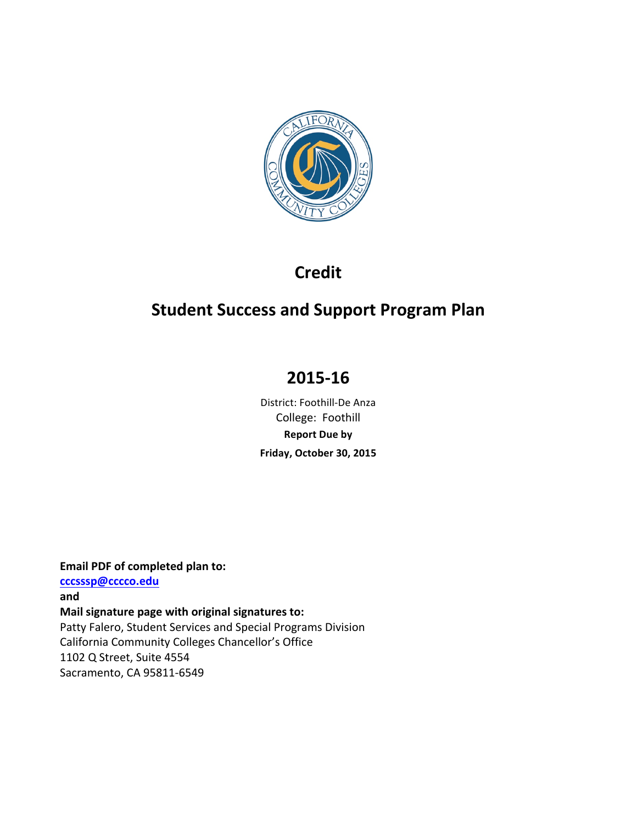

# **Credit**

# **Student Success and Support Program Plan**

# **2015-16**

District: Foothill-De Anza College: Foothill **Report Due by** Friday, October 30, 2015

Email PDF of completed plan to: **cccsssp@cccco.edu and** Mail signature page with original signatures to: Patty Falero, Student Services and Special Programs Division California Community Colleges Chancellor's Office 1102 Q Street, Suite 4554 Sacramento, CA 95811-6549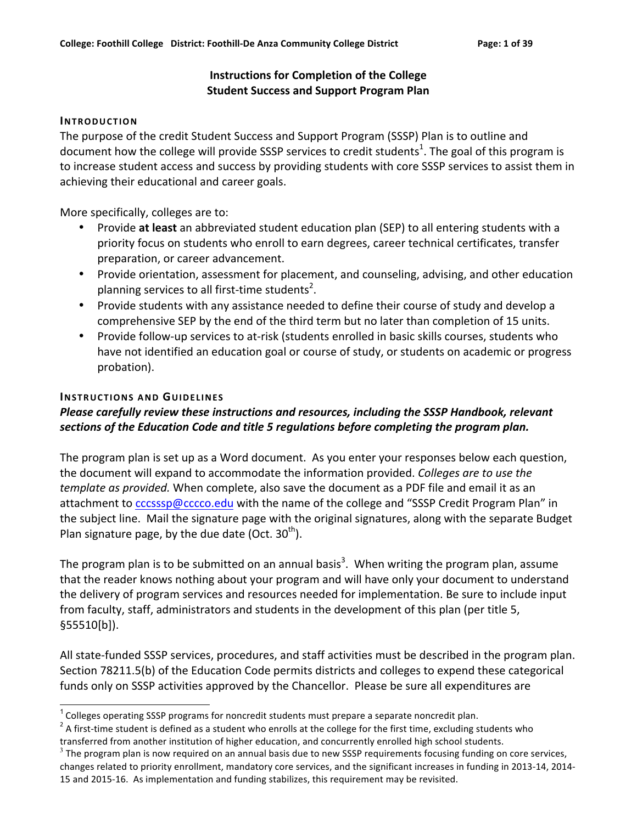## **Instructions'for'Completion'of'the'College' Student Success and Support Program Plan**

#### **INTRODUCTION**

The purpose of the credit Student Success and Support Program (SSSP) Plan is to outline and document how the college will provide SSSP services to credit students<sup>1</sup>. The goal of this program is to increase student access and success by providing students with core SSSP services to assist them in achieving their educational and career goals.

More specifically, colleges are to:

- Provide at least an abbreviated student education plan (SEP) to all entering students with a priority focus on students who enroll to earn degrees, career technical certificates, transfer preparation, or career advancement.
- Provide orientation, assessment for placement, and counseling, advising, and other education planning services to all first-time students<sup>2</sup>.
- Provide students with any assistance needed to define their course of study and develop a comprehensive SEP by the end of the third term but no later than completion of 15 units.
- Provide follow-up services to at-risk (students enrolled in basic skills courses, students who have not identified an education goal or course of study, or students on academic or progress probation).

## **INSTRUCTIONS AND GUIDELINES**

## Please carefully review these instructions and resources, including the SSSP Handbook, relevant sections of the Education Code and title 5 regulations before completing the program plan.

The program plan is set up as a Word document. As you enter your responses below each question, the document will expand to accommodate the information provided. Colleges are to use the *template as provided.* When complete, also save the document as a PDF file and email it as an attachment to cccsssp@cccco.edu with the name of the college and "SSSP Credit Program Plan" in the subject line. Mail the signature page with the original signatures, along with the separate Budget Plan signature page, by the due date (Oct.  $30<sup>th</sup>$ ).

The program plan is to be submitted on an annual basis<sup>3</sup>. When writing the program plan, assume that the reader knows nothing about your program and will have only your document to understand the delivery of program services and resources needed for implementation. Be sure to include input from faculty, staff, administrators and students in the development of this plan (per title 5,  $§55510[b]$ ).

All state-funded SSSP services, procedures, and staff activities must be described in the program plan. Section 78211.5(b) of the Education Code permits districts and colleges to expend these categorical funds only on SSSP activities approved by the Chancellor. Please be sure all expenditures are

<sup>&</sup>lt;sup>1</sup> Colleges operating SSSP programs for noncredit students must prepare a separate noncredit plan.<br><sup>2</sup> A first-time student is defined as a student who enrolls at the college for the first time, excluding students who transferred from another institution of higher education, and concurrently enrolled high school students.

 $3$  The program plan is now required on an annual basis due to new SSSP requirements focusing funding on core services, changes related to priority enrollment, mandatory core services, and the significant increases in funding in 2013-14, 2014-15 and 2015-16. As implementation and funding stabilizes, this requirement may be revisited.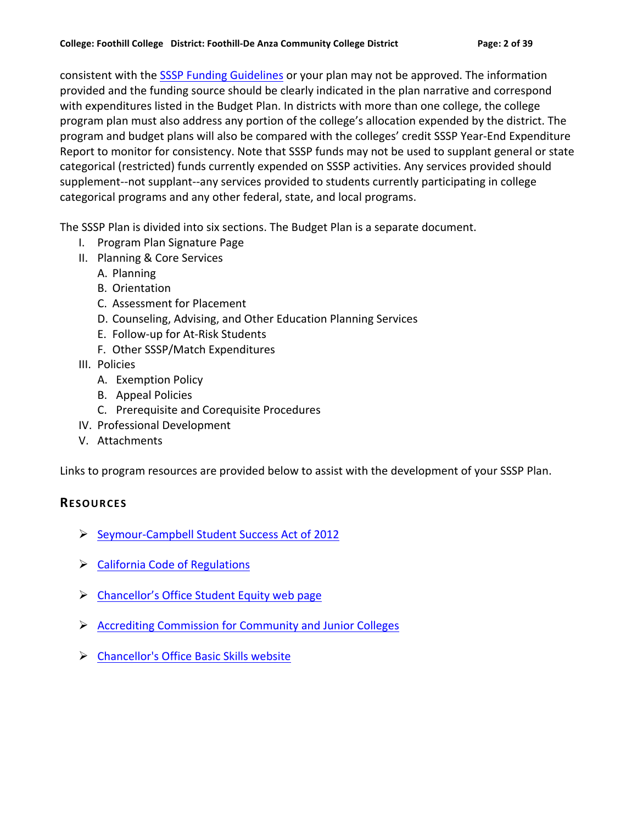consistent with the SSSP Funding Guidelines or your plan may not be approved. The information provided and the funding source should be clearly indicated in the plan narrative and correspond with expenditures listed in the Budget Plan. In districts with more than one college, the college program plan must also address any portion of the college's allocation expended by the district. The program and budget plans will also be compared with the colleges' credit SSSP Year-End Expenditure Report to monitor for consistency. Note that SSSP funds may not be used to supplant general or state categorical (restricted) funds currently expended on SSSP activities. Any services provided should supplement--not supplant--any services provided to students currently participating in college categorical programs and any other federal, state, and local programs.

The SSSP Plan is divided into six sections. The Budget Plan is a separate document.

- I. Program Plan Signature Page
- II. Planning & Core Services
	- A. Planning
	- B. Orientation
	- C. Assessment for Placement
	- D. Counseling, Advising, and Other Education Planning Services
	- E. Follow-up for At-Risk Students
	- F. Other SSSP/Match Expenditures
- III. Policies(
	- A. Exemption Policy
	- B. Appeal Policies
	- C. Prerequisite and Corequisite Procedures
- IV. Professional Development
- V. Attachments

Links to program resources are provided below to assist with the development of your SSSP Plan.

## **RESOURCES**

- $\triangleright$  Seymour-Campbell Student Success Act of 2012
- $\triangleright$  California Code of Regulations
- $\triangleright$  Chancellor's Office Student Equity web page
- $\triangleright$  Accrediting Commission for Community and Junior Colleges
- $\triangleright$  Chancellor's Office Basic Skills website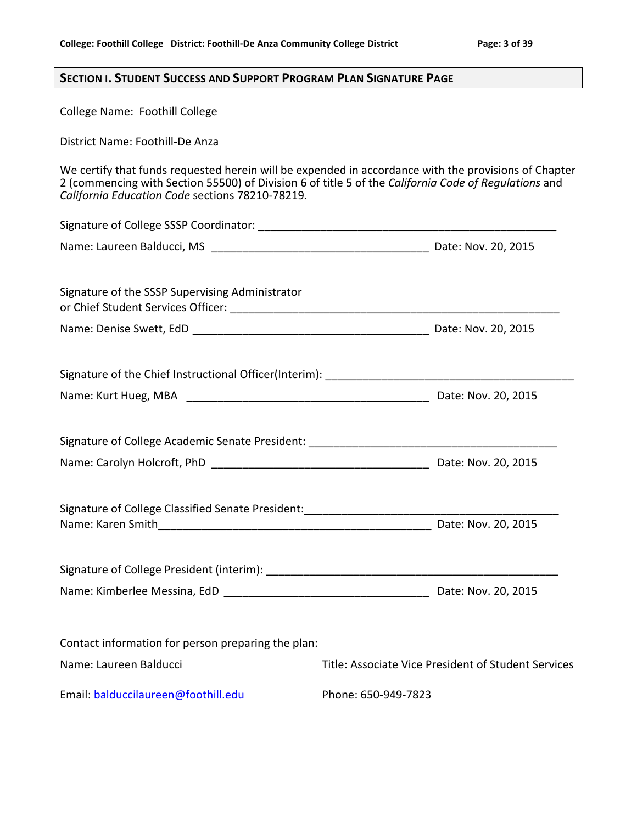## **SECTION I. STUDENT SUCCESS AND SUPPORT PROGRAM PLAN SIGNATURE PAGE**

| College Name: Foothill College                                                                                                                          |                                                                                                      |
|---------------------------------------------------------------------------------------------------------------------------------------------------------|------------------------------------------------------------------------------------------------------|
| District Name: Foothill-De Anza                                                                                                                         |                                                                                                      |
| 2 (commencing with Section 55500) of Division 6 of title 5 of the California Code of Regulations and<br>California Education Code sections 78210-78219. | We certify that funds requested herein will be expended in accordance with the provisions of Chapter |
|                                                                                                                                                         |                                                                                                      |
|                                                                                                                                                         |                                                                                                      |
| Signature of the SSSP Supervising Administrator                                                                                                         |                                                                                                      |
|                                                                                                                                                         |                                                                                                      |
|                                                                                                                                                         |                                                                                                      |
|                                                                                                                                                         |                                                                                                      |
|                                                                                                                                                         |                                                                                                      |
|                                                                                                                                                         |                                                                                                      |
|                                                                                                                                                         |                                                                                                      |
|                                                                                                                                                         |                                                                                                      |
|                                                                                                                                                         | Date: Nov. 20, 2015                                                                                  |
| Contact information for person preparing the plan:                                                                                                      |                                                                                                      |
| Name: Laureen Balducci                                                                                                                                  | Title: Associate Vice President of Student Services                                                  |
| Email: balduccilaureen@foothill.edu                                                                                                                     | Phone: 650-949-7823                                                                                  |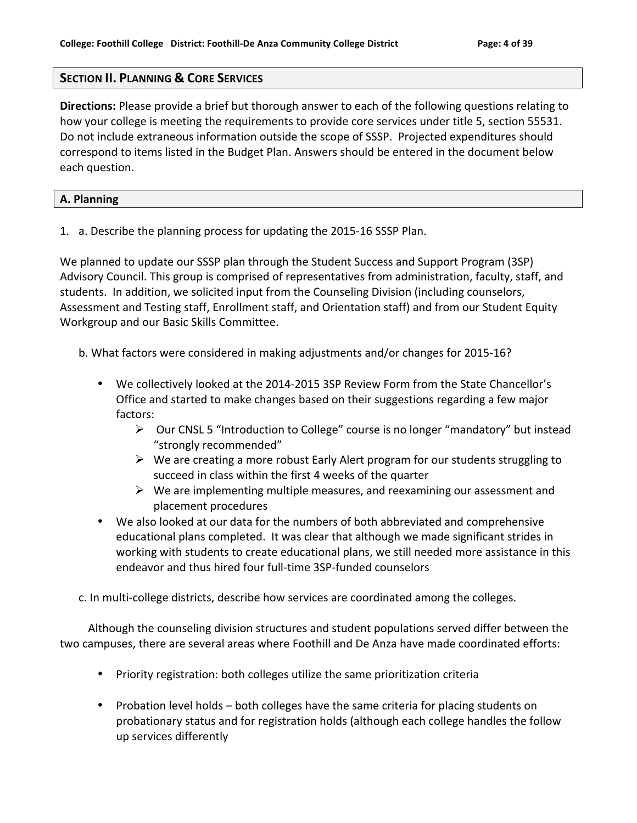## **SECTION II. PLANNING & CORE SERVICES**

**Directions:** Please provide a brief but thorough answer to each of the following questions relating to how your college is meeting the requirements to provide core services under title 5, section 55531. Do not include extraneous information outside the scope of SSSP. Projected expenditures should correspond to items listed in the Budget Plan. Answers should be entered in the document below each question.

#### **A. Planning**

1. a. Describe the planning process for updating the 2015-16 SSSP Plan.

We planned to update our SSSP plan through the Student Success and Support Program (3SP) Advisory Council. This group is comprised of representatives from administration, faculty, staff, and students. In addition, we solicited input from the Counseling Division (including counselors, Assessment and Testing staff, Enrollment staff, and Orientation staff) and from our Student Equity Workgroup and our Basic Skills Committee.

- b. What factors were considered in making adjustments and/or changes for 2015-16?
	- We collectively looked at the 2014-2015 3SP Review Form from the State Chancellor's Office and started to make changes based on their suggestions regarding a few major factors:
		- $\triangleright$  Our CNSL 5 "Introduction to College" course is no longer "mandatory" but instead "strongly recommended"
		- $\triangleright$  We are creating a more robust Early Alert program for our students struggling to succeed in class within the first 4 weeks of the quarter
		- $\triangleright$  We are implementing multiple measures, and reexamining our assessment and placement procedures
	- We also looked at our data for the numbers of both abbreviated and comprehensive educational plans completed. It was clear that although we made significant strides in working with students to create educational plans, we still needed more assistance in this endeavor and thus hired four full-time 3SP-funded counselors
- c. In multi-college districts, describe how services are coordinated among the colleges.

Although the counseling division structures and student populations served differ between the two campuses, there are several areas where Foothill and De Anza have made coordinated efforts:

- Priority registration: both colleges utilize the same prioritization criteria
- Probation level holds both colleges have the same criteria for placing students on probationary status and for registration holds (although each college handles the follow up services differently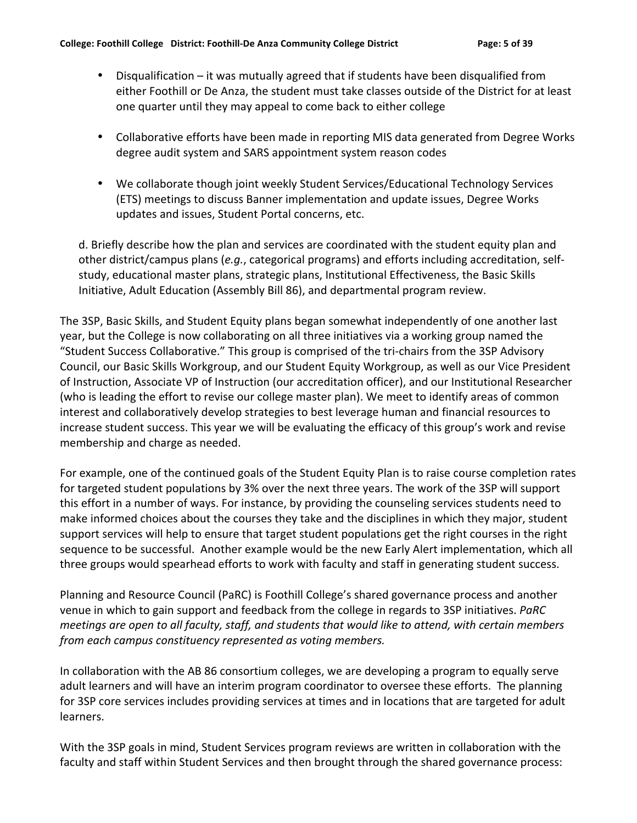- Disqualification it was mutually agreed that if students have been disqualified from either Foothill or De Anza, the student must take classes outside of the District for at least one quarter until they may appeal to come back to either college
- Collaborative efforts have been made in reporting MIS data generated from Degree Works degree audit system and SARS appointment system reason codes
- We collaborate though joint weekly Student Services/Educational Technology Services (ETS) meetings to discuss Banner implementation and update issues, Degree Works updates and issues, Student Portal concerns, etc.

d. Briefly describe how the plan and services are coordinated with the student equity plan and other district/campus plans (*e.g.*, categorical programs) and efforts including accreditation, selfstudy, educational master plans, strategic plans, Institutional Effectiveness, the Basic Skills Initiative, Adult Education (Assembly Bill 86), and departmental program review.

The 3SP, Basic Skills, and Student Equity plans began somewhat independently of one another last year, but the College is now collaborating on all three initiatives via a working group named the "Student Success Collaborative." This group is comprised of the tri-chairs from the 3SP Advisory Council, our Basic Skills Workgroup, and our Student Equity Workgroup, as well as our Vice President of Instruction, Associate VP of Instruction (our accreditation officer), and our Institutional Researcher (who is leading the effort to revise our college master plan). We meet to identify areas of common interest and collaboratively develop strategies to best leverage human and financial resources to increase student success. This year we will be evaluating the efficacy of this group's work and revise membership and charge as needed.

For example, one of the continued goals of the Student Equity Plan is to raise course completion rates for targeted student populations by 3% over the next three years. The work of the 3SP will support this effort in a number of ways. For instance, by providing the counseling services students need to make informed choices about the courses they take and the disciplines in which they major, student support services will help to ensure that target student populations get the right courses in the right sequence to be successful. Another example would be the new Early Alert implementation, which all three groups would spearhead efforts to work with faculty and staff in generating student success.

Planning and Resource Council (PaRC) is Foothill College's shared governance process and another venue in which to gain support and feedback from the college in regards to 3SP initiatives. PaRC *meetings'are'open'to'all'faculty,'staff,'and'students'that'would'like'to'attend,'with'certain'members' from'each'campus'constituency'represented'as'voting'members.*

In collaboration with the AB 86 consortium colleges, we are developing a program to equally serve adult learners and will have an interim program coordinator to oversee these efforts. The planning for 3SP core services includes providing services at times and in locations that are targeted for adult learners.

With the 3SP goals in mind, Student Services program reviews are written in collaboration with the faculty and staff within Student Services and then brought through the shared governance process: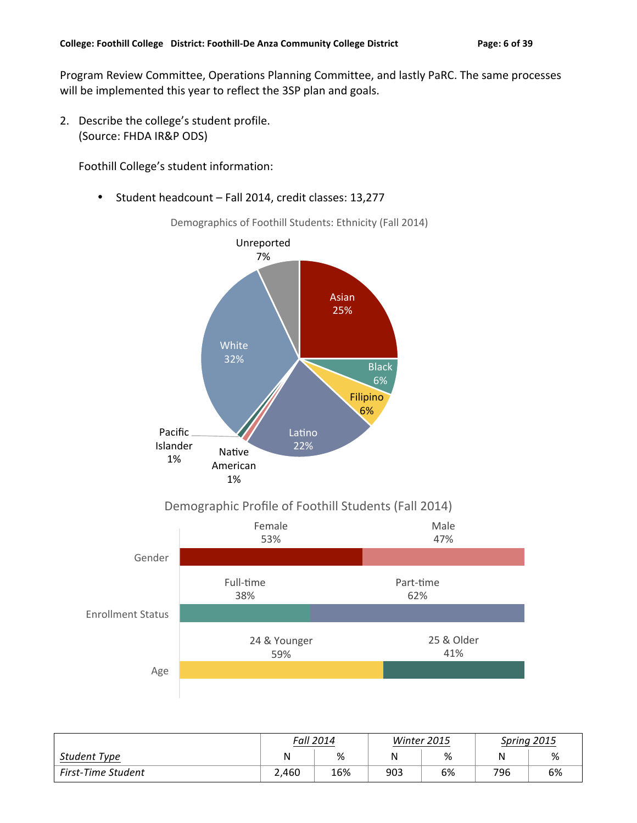Program Review Committee, Operations Planning Committee, and lastly PaRC. The same processes will be implemented this year to reflect the 3SP plan and goals.

2. Describe the college's student profile. (Source: FHDA IR&P ODS)

Foothill College's student information:

• Student headcount – Fall 2014, credit classes:  $13,277$ 

Asian( 25%( **Black** 6%( **Filipino** 6%( Latino Native<sup>22%</sup> American 1%( Pacific Islander 1%( White 32%( Unreported 7%(

Demographics of Foothill Students: Ethnicity (Fall 2014)

## Demographic Profile of Foothill Students (Fall 2014)



|                           | Fall 2014 |     | <b>Winter 2015</b> |    | Spring 2015 |    |
|---------------------------|-----------|-----|--------------------|----|-------------|----|
| Student Type              | Ν         | %   | Ν                  | %  | Ν           | %  |
| <b>First-Time Student</b> | 2,460     | 16% | 903                | 6% | 796         | 6% |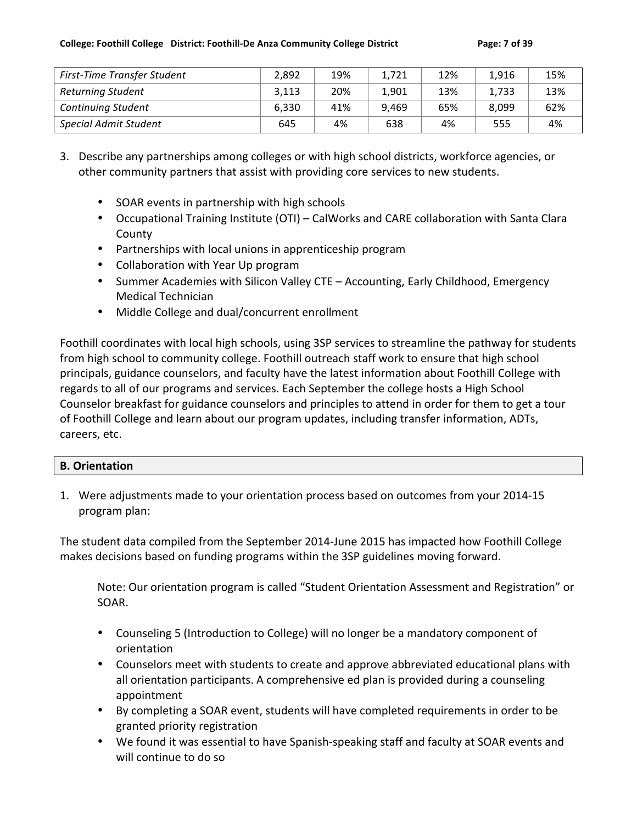#### **College: Foothill College District: Foothill-De Anza Community College District Page: 7 of 39**

| First-Time Transfer Student | 2.892 | 19% | 1.721 | 12% | 1.916 | 15% |
|-----------------------------|-------|-----|-------|-----|-------|-----|
| Returning Student           | 3,113 | 20% | 1,901 | 13% | 1.733 | 13% |
| <b>Continuing Student</b>   | 6.330 | 41% | 9.469 | 65% | 8.099 | 62% |
| Special Admit Student       | 645   | 4%  | 638   | 4%  | 555   | 4%  |

- 3. Describe any partnerships among colleges or with high school districts, workforce agencies, or other community partners that assist with providing core services to new students.
	- SOAR events in partnership with high schools
	- Occupational Training Institute (OTI) CalWorks and CARE collaboration with Santa Clara County
	- Partnerships with local unions in apprenticeship program
	- Collaboration with Year Up program
	- Summer Academies with Silicon Valley CTE Accounting, Early Childhood, Emergency Medical Technician
	- Middle College and dual/concurrent enrollment

Foothill coordinates with local high schools, using 3SP services to streamline the pathway for students from high school to community college. Foothill outreach staff work to ensure that high school principals, guidance counselors, and faculty have the latest information about Foothill College with regards to all of our programs and services. Each September the college hosts a High School Counselor breakfast for guidance counselors and principles to attend in order for them to get a tour of Foothill College and learn about our program updates, including transfer information, ADTs, careers, etc.

#### **B.** Orientation

1. Were adjustments made to your orientation process based on outcomes from your 2014-15 program plan:

The student data compiled from the September 2014-June 2015 has impacted how Foothill College makes decisions based on funding programs within the 3SP guidelines moving forward.

Note: Our orientation program is called "Student Orientation Assessment and Registration" or SOAR.

- Counseling 5 (Introduction to College) will no longer be a mandatory component of orientation
- Counselors meet with students to create and approve abbreviated educational plans with all orientation participants. A comprehensive ed plan is provided during a counseling appointment
- By completing a SOAR event, students will have completed requirements in order to be granted priority registration
- We found it was essential to have Spanish-speaking staff and faculty at SOAR events and will continue to do so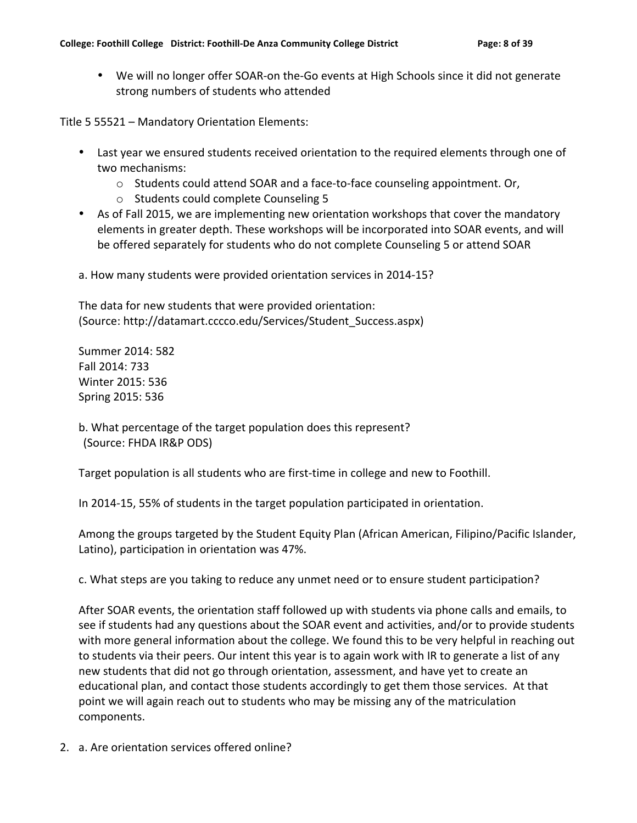• We will no longer offer SOAR-on the-Go events at High Schools since it did not generate strong numbers of students who attended

Title 5 55521 - Mandatory Orientation Elements:

- Last year we ensured students received orientation to the required elements through one of two mechanisms:
	- $\circ$  Students could attend SOAR and a face-to-face counseling appointment. Or,
	- $\circ$  Students could complete Counseling 5
- As of Fall 2015, we are implementing new orientation workshops that cover the mandatory elements in greater depth. These workshops will be incorporated into SOAR events, and will be offered separately for students who do not complete Counseling 5 or attend SOAR

a. How many students were provided orientation services in 2014-15?

The data for new students that were provided orientation: (Source: http://datamart.cccco.edu/Services/Student\_Success.aspx)

Summer 2014: 582 Fall 2014: 733 Winter 2015: 536 Spring 2015: 536

b. What percentage of the target population does this represent? (Source: FHDA IR&P ODS)

Target population is all students who are first-time in college and new to Foothill.

In 2014-15, 55% of students in the target population participated in orientation.

Among the groups targeted by the Student Equity Plan (African American, Filipino/Pacific Islander, Latino), participation in orientation was 47%.

c. What steps are you taking to reduce any unmet need or to ensure student participation?

After SOAR events, the orientation staff followed up with students via phone calls and emails, to see if students had any questions about the SOAR event and activities, and/or to provide students with more general information about the college. We found this to be very helpful in reaching out to students via their peers. Our intent this year is to again work with IR to generate a list of any new students that did not go through orientation, assessment, and have yet to create an educational plan, and contact those students accordingly to get them those services. At that point we will again reach out to students who may be missing any of the matriculation components.

2. a. Are orientation services offered online?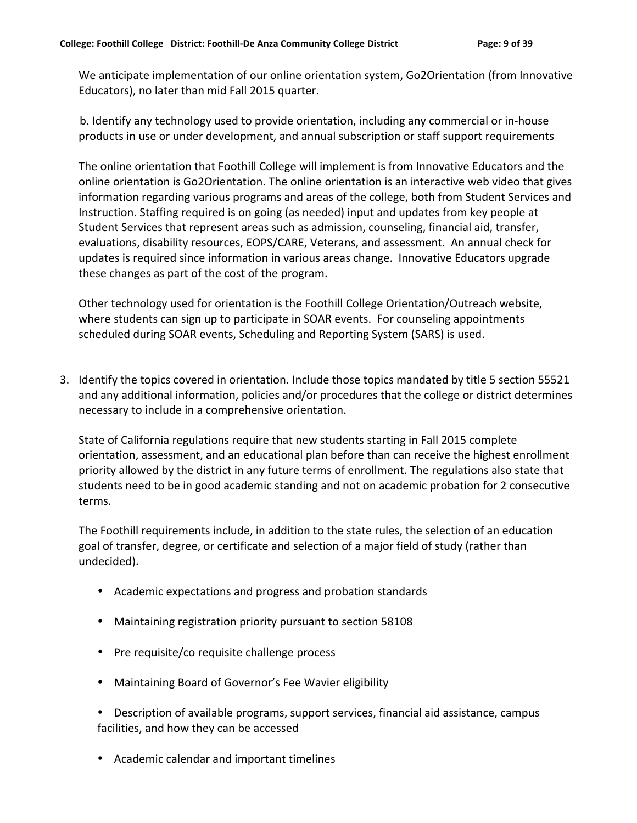We anticipate implementation of our online orientation system, Go2Orientation (from Innovative Educators), no later than mid Fall 2015 quarter.

b. Identify any technology used to provide orientation, including any commercial or in-house products in use or under development, and annual subscription or staff support requirements

The online orientation that Foothill College will implement is from Innovative Educators and the online orientation is Go2Orientation. The online orientation is an interactive web video that gives information regarding various programs and areas of the college, both from Student Services and Instruction. Staffing required is on going (as needed) input and updates from key people at Student Services that represent areas such as admission, counseling, financial aid, transfer, evaluations, disability resources, EOPS/CARE, Veterans, and assessment. An annual check for updates is required since information in various areas change. Innovative Educators upgrade these changes as part of the cost of the program.

Other technology used for orientation is the Foothill College Orientation/Outreach website, where students can sign up to participate in SOAR events. For counseling appointments scheduled during SOAR events, Scheduling and Reporting System (SARS) is used.

3. Identify the topics covered in orientation. Include those topics mandated by title 5 section 55521 and any additional information, policies and/or procedures that the college or district determines necessary to include in a comprehensive orientation.

State of California regulations require that new students starting in Fall 2015 complete orientation, assessment, and an educational plan before than can receive the highest enrollment priority allowed by the district in any future terms of enrollment. The regulations also state that students need to be in good academic standing and not on academic probation for 2 consecutive terms.

The Foothill requirements include, in addition to the state rules, the selection of an education goal of transfer, degree, or certificate and selection of a major field of study (rather than undecided).

- Academic expectations and progress and probation standards
- Maintaining registration priority pursuant to section 58108
- Pre requisite/co requisite challenge process
- Maintaining Board of Governor's Fee Wavier eligibility
- Description of available programs, support services, financial aid assistance, campus facilities, and how they can be accessed
- Academic calendar and important timelines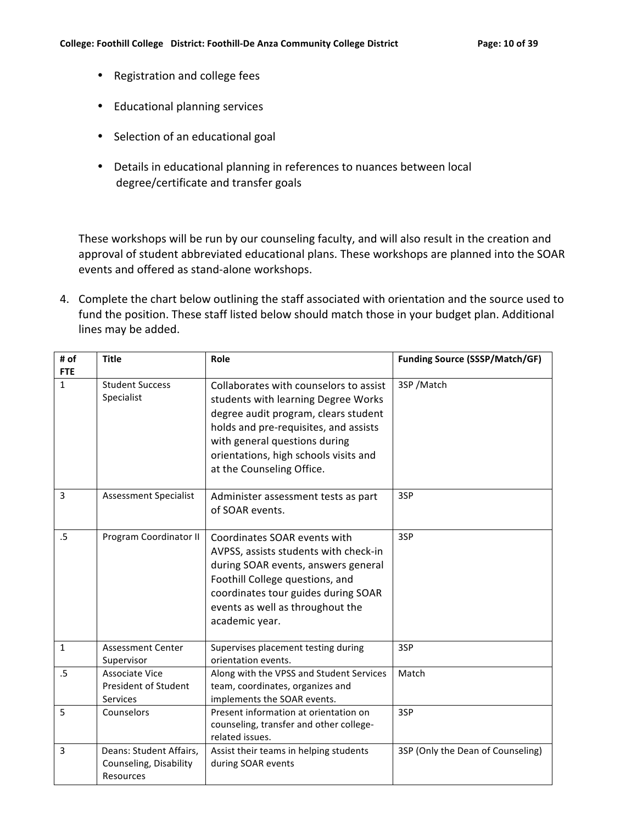- Registration and college fees
- Educational planning services
- Selection of an educational goal
- Details in educational planning in references to nuances between local degree/certificate and transfer goals

These workshops will be run by our counseling faculty, and will also result in the creation and approval of student abbreviated educational plans. These workshops are planned into the SOAR events and offered as stand-alone workshops.

4. Complete the chart below outlining the staff associated with orientation and the source used to fund the position. These staff listed below should match those in your budget plan. Additional lines may be added.

| # of<br><b>FTE</b> | <b>Title</b>                                                   | Role                                                                                                                                                                                                                                                                  | <b>Funding Source (SSSP/Match/GF)</b> |
|--------------------|----------------------------------------------------------------|-----------------------------------------------------------------------------------------------------------------------------------------------------------------------------------------------------------------------------------------------------------------------|---------------------------------------|
| $\mathbf{1}$       | <b>Student Success</b><br>Specialist                           | Collaborates with counselors to assist<br>students with learning Degree Works<br>degree audit program, clears student<br>holds and pre-requisites, and assists<br>with general questions during<br>orientations, high schools visits and<br>at the Counseling Office. | 3SP / Match                           |
| 3                  | <b>Assessment Specialist</b>                                   | Administer assessment tests as part<br>of SOAR events.                                                                                                                                                                                                                | 3SP                                   |
| $.5\,$             | Program Coordinator II                                         | Coordinates SOAR events with<br>AVPSS, assists students with check-in<br>during SOAR events, answers general<br>Foothill College questions, and<br>coordinates tour guides during SOAR<br>events as well as throughout the<br>academic year.                          | 3SP                                   |
| $\mathbf{1}$       | <b>Assessment Center</b><br>Supervisor                         | Supervises placement testing during<br>orientation events.                                                                                                                                                                                                            | 3SP                                   |
| .5                 | Associate Vice<br><b>President of Student</b><br>Services      | Along with the VPSS and Student Services<br>team, coordinates, organizes and<br>implements the SOAR events.                                                                                                                                                           | Match                                 |
| 5                  | Counselors                                                     | Present information at orientation on<br>counseling, transfer and other college-<br>related issues.                                                                                                                                                                   | 3SP                                   |
| $\overline{3}$     | Deans: Student Affairs,<br>Counseling, Disability<br>Resources | Assist their teams in helping students<br>during SOAR events                                                                                                                                                                                                          | 3SP (Only the Dean of Counseling)     |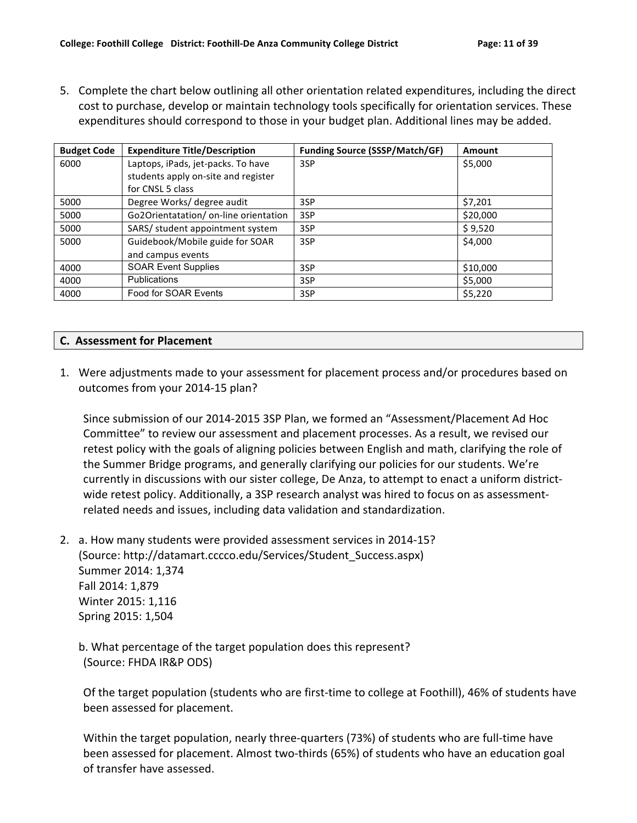5. Complete the chart below outlining all other orientation related expenditures, including the direct cost to purchase, develop or maintain technology tools specifically for orientation services. These expenditures should correspond to those in your budget plan. Additional lines may be added.

| <b>Budget Code</b> | <b>Expenditure Title/Description</b>  | <b>Funding Source (SSSP/Match/GF)</b> | Amount   |
|--------------------|---------------------------------------|---------------------------------------|----------|
| 6000               | Laptops, iPads, jet-packs. To have    | 3SP                                   | \$5,000  |
|                    | students apply on-site and register   |                                       |          |
|                    | for CNSL 5 class                      |                                       |          |
| 5000               | Degree Works/ degree audit            | 3SP                                   | \$7,201  |
| 5000               | Go2Orientatation/ on-line orientation | 3SP                                   | \$20,000 |
| 5000               | SARS/ student appointment system      | 3SP                                   | \$9,520  |
| 5000               | Guidebook/Mobile guide for SOAR       | 3SP                                   | \$4,000  |
|                    | and campus events                     |                                       |          |
| 4000               | <b>SOAR Event Supplies</b>            | 3SP                                   | \$10,000 |
| 4000               | <b>Publications</b>                   | 3SP                                   | \$5,000  |
| 4000               | Food for SOAR Events                  | 3SP                                   | \$5,220  |

#### **C. Assessment for Placement**

1. Were adjustments made to your assessment for placement process and/or procedures based on outcomes from your 2014-15 plan?

Since submission of our 2014-2015 3SP Plan, we formed an "Assessment/Placement Ad Hoc Committee" to review our assessment and placement processes. As a result, we revised our retest policy with the goals of aligning policies between English and math, clarifying the role of the Summer Bridge programs, and generally clarifying our policies for our students. We're currently in discussions with our sister college, De Anza, to attempt to enact a uniform districtwide retest policy. Additionally, a 3SP research analyst was hired to focus on as assessmentrelated needs and issues, including data validation and standardization.

2. a. How many students were provided assessment services in 2014-15? (Source: http://datamart.cccco.edu/Services/Student\_Success.aspx) Summer 2014: 1,374 Fall 2014: 1,879 Winter 2015: 1,116

Spring 2015: 1,504

b. What percentage of the target population does this represent? (Source: FHDA IR&P ODS)

Of the target population (students who are first-time to college at Foothill), 46% of students have been assessed for placement.

Within the target population, nearly three-quarters (73%) of students who are full-time have been assessed for placement. Almost two-thirds (65%) of students who have an education goal of transfer have assessed.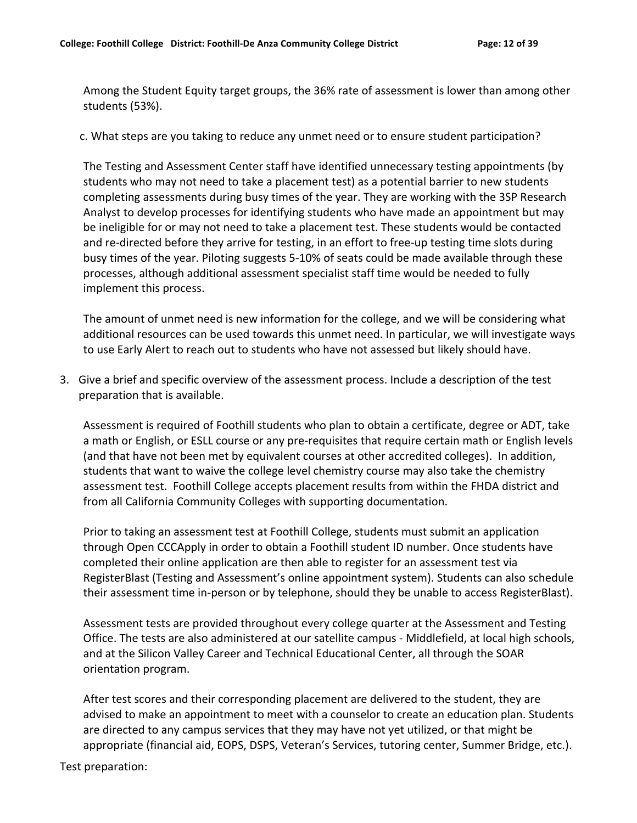Among the Student Equity target groups, the 36% rate of assessment is lower than among other students (53%).

c. What steps are you taking to reduce any unmet need or to ensure student participation?

The Testing and Assessment Center staff have identified unnecessary testing appointments (by students who may not need to take a placement test) as a potential barrier to new students completing assessments during busy times of the year. They are working with the 3SP Research Analyst to develop processes for identifying students who have made an appointment but may be ineligible for or may not need to take a placement test. These students would be contacted and re-directed before they arrive for testing, in an effort to free-up testing time slots during busy times of the year. Piloting suggests 5-10% of seats could be made available through these processes, although additional assessment specialist staff time would be needed to fully implement this process.

The amount of unmet need is new information for the college, and we will be considering what additional resources can be used towards this unmet need. In particular, we will investigate ways to use Early Alert to reach out to students who have not assessed but likely should have.

3. Give a brief and specific overview of the assessment process. Include a description of the test preparation that is available.

Assessment is required of Foothill students who plan to obtain a certificate, degree or ADT, take a math or English, or ESLL course or any pre-requisites that require certain math or English levels (and that have not been met by equivalent courses at other accredited colleges). In addition, students that want to waive the college level chemistry course may also take the chemistry assessment test. Foothill College accepts placement results from within the FHDA district and from all California Community Colleges with supporting documentation.

Prior to taking an assessment test at Foothill College, students must submit an application through Open CCCApply in order to obtain a Foothill student ID number. Once students have completed their online application are then able to register for an assessment test via RegisterBlast (Testing and Assessment's online appointment system). Students can also schedule their assessment time in-person or by telephone, should they be unable to access RegisterBlast).

Assessment tests are provided throughout every college quarter at the Assessment and Testing Office. The tests are also administered at our satellite campus - Middlefield, at local high schools, and at the Silicon Valley Career and Technical Educational Center, all through the SOAR orientation program.

After test scores and their corresponding placement are delivered to the student, they are advised to make an appointment to meet with a counselor to create an education plan. Students are directed to any campus services that they may have not yet utilized, or that might be appropriate (financial aid, EOPS, DSPS, Veteran's Services, tutoring center, Summer Bridge, etc.).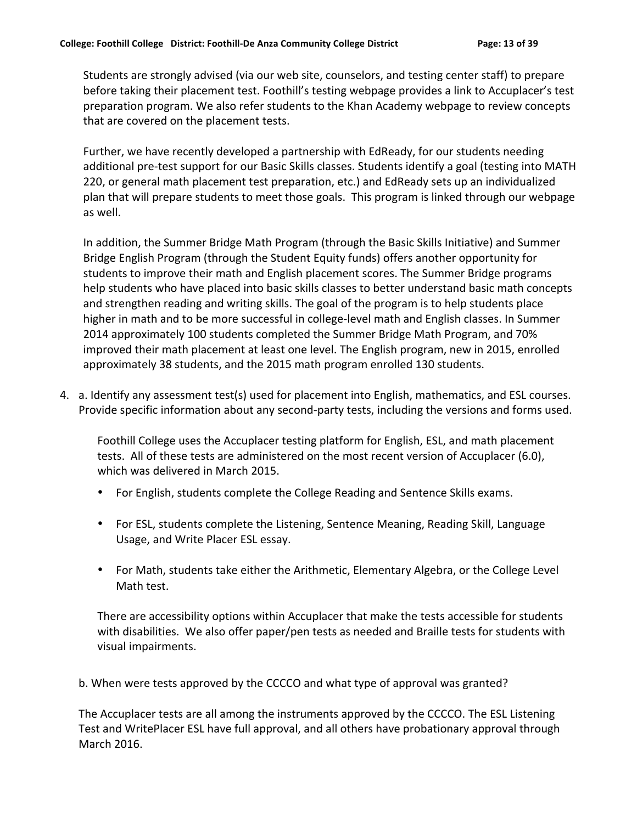Students are strongly advised (via our web site, counselors, and testing center staff) to prepare before taking their placement test. Foothill's testing webpage provides a link to Accuplacer's test preparation program. We also refer students to the Khan Academy webpage to review concepts that are covered on the placement tests.

Further, we have recently developed a partnership with EdReady, for our students needing additional pre-test support for our Basic Skills classes. Students identify a goal (testing into MATH) 220, or general math placement test preparation, etc.) and EdReady sets up an individualized plan that will prepare students to meet those goals. This program is linked through our webpage as well.

In addition, the Summer Bridge Math Program (through the Basic Skills Initiative) and Summer Bridge English Program (through the Student Equity funds) offers another opportunity for students to improve their math and English placement scores. The Summer Bridge programs help students who have placed into basic skills classes to better understand basic math concepts and strengthen reading and writing skills. The goal of the program is to help students place higher in math and to be more successful in college-level math and English classes. In Summer 2014 approximately 100 students completed the Summer Bridge Math Program, and 70% improved their math placement at least one level. The English program, new in 2015, enrolled approximately 38 students, and the 2015 math program enrolled 130 students.

4. a. Identify any assessment test(s) used for placement into English, mathematics, and ESL courses. Provide specific information about any second-party tests, including the versions and forms used.

Foothill College uses the Accuplacer testing platform for English, ESL, and math placement tests. All of these tests are administered on the most recent version of Accuplacer (6.0), which was delivered in March 2015.

- For English, students complete the College Reading and Sentence Skills exams.
- For ESL, students complete the Listening, Sentence Meaning, Reading Skill, Language Usage, and Write Placer ESL essay.
- For Math, students take either the Arithmetic, Elementary Algebra, or the College Level Math test.

There are accessibility options within Accuplacer that make the tests accessible for students with disabilities. We also offer paper/pen tests as needed and Braille tests for students with visual impairments.

b. When were tests approved by the CCCCO and what type of approval was granted?

The Accuplacer tests are all among the instruments approved by the CCCCO. The ESL Listening Test and WritePlacer ESL have full approval, and all others have probationary approval through March 2016.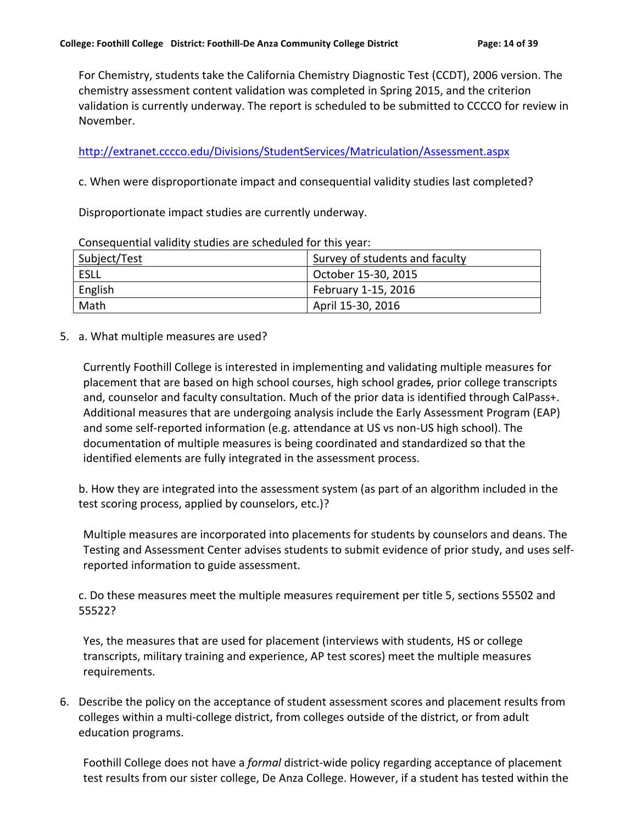For Chemistry, students take the California Chemistry Diagnostic Test (CCDT), 2006 version. The chemistry assessment content validation was completed in Spring 2015, and the criterion validation is currently underway. The report is scheduled to be submitted to CCCCO for review in November.

http://extranet.cccco.edu/Divisions/StudentServices/Matriculation/Assessment.aspx

c. When were disproportionate impact and consequential validity studies last completed?

Disproportionate impact studies are currently underway.

| Subject/Test | Survey of students and faculty |  |  |
|--------------|--------------------------------|--|--|
| <b>ESLL</b>  | October 15-30, 2015            |  |  |
| English      | February 1-15, 2016            |  |  |
| Math         | April 15-30, 2016              |  |  |

Consequential validity studies are scheduled for this year:

5. a. What multiple measures are used?

Currently Foothill College is interested in implementing and validating multiple measures for placement that are based on high school courses, high school grades, prior college transcripts and, counselor and faculty consultation. Much of the prior data is identified through CalPass+. Additional measures that are undergoing analysis include the Early Assessment Program (EAP) and some self-reported information (e.g. attendance at US vs non-US high school). The documentation of multiple measures is being coordinated and standardized so that the identified elements are fully integrated in the assessment process.

b. How they are integrated into the assessment system (as part of an algorithm included in the test scoring process, applied by counselors, etc.)?

Multiple measures are incorporated into placements for students by counselors and deans. The Testing and Assessment Center advises students to submit evidence of prior study, and uses selfreported information to guide assessment.

c. Do these measures meet the multiple measures requirement per title 5, sections 55502 and 55522?

Yes, the measures that are used for placement (interviews with students, HS or college transcripts, military training and experience, AP test scores) meet the multiple measures requirements.

6. Describe the policy on the acceptance of student assessment scores and placement results from colleges within a multi-college district, from colleges outside of the district, or from adult education programs.

Foothill College does not have a *formal* district-wide policy regarding acceptance of placement test results from our sister college, De Anza College. However, if a student has tested within the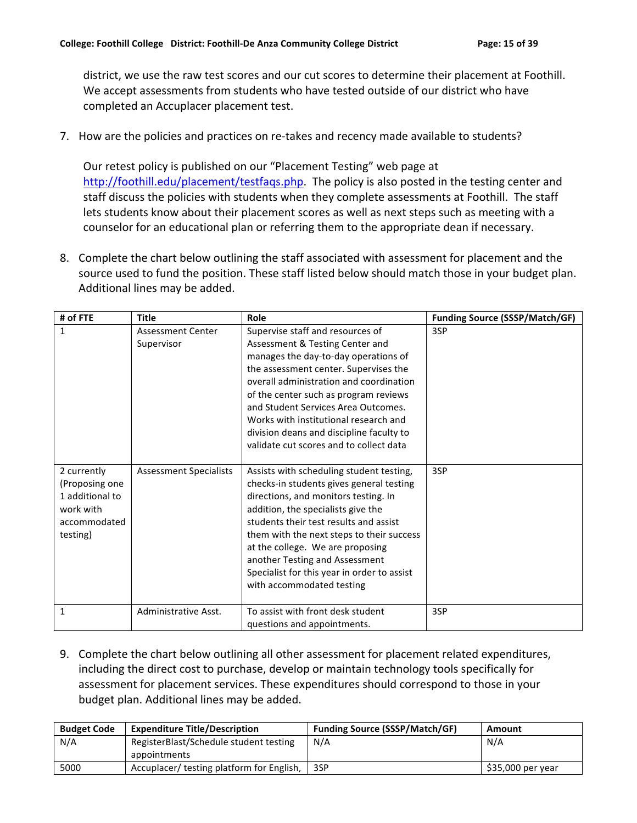district, we use the raw test scores and our cut scores to determine their placement at Foothill. We accept assessments from students who have tested outside of our district who have completed an Accuplacer placement test.

7. How are the policies and practices on re-takes and recency made available to students?

Our retest policy is published on our "Placement Testing" web page at http://foothill.edu/placement/testfaqs.php. The policy is also posted in the testing center and staff discuss the policies with students when they complete assessments at Foothill. The staff lets students know about their placement scores as well as next steps such as meeting with a counselor for an educational plan or referring them to the appropriate dean if necessary.

8. Complete the chart below outlining the staff associated with assessment for placement and the source used to fund the position. These staff listed below should match those in your budget plan. Additional lines may be added.

| # of FTE                                                                                  | <b>Title</b>                           | Role                                                                                                                                                                                                                                                                                                                                                                                                            | <b>Funding Source (SSSP/Match/GF)</b> |
|-------------------------------------------------------------------------------------------|----------------------------------------|-----------------------------------------------------------------------------------------------------------------------------------------------------------------------------------------------------------------------------------------------------------------------------------------------------------------------------------------------------------------------------------------------------------------|---------------------------------------|
| $\mathbf{1}$                                                                              | <b>Assessment Center</b><br>Supervisor | Supervise staff and resources of<br>Assessment & Testing Center and<br>manages the day-to-day operations of<br>the assessment center. Supervises the<br>overall administration and coordination<br>of the center such as program reviews<br>and Student Services Area Outcomes.<br>Works with institutional research and<br>division deans and discipline faculty to<br>validate cut scores and to collect data | 3SP                                   |
| 2 currently<br>(Proposing one<br>1 additional to<br>work with<br>accommodated<br>testing) | <b>Assessment Specialists</b>          | Assists with scheduling student testing,<br>checks-in students gives general testing<br>directions, and monitors testing. In<br>addition, the specialists give the<br>students their test results and assist<br>them with the next steps to their success<br>at the college. We are proposing<br>another Testing and Assessment<br>Specialist for this year in order to assist<br>with accommodated testing     | 3SP                                   |
| 1                                                                                         | Administrative Asst.                   | To assist with front desk student<br>questions and appointments.                                                                                                                                                                                                                                                                                                                                                | 3SP                                   |

9. Complete the chart below outlining all other assessment for placement related expenditures, including the direct cost to purchase, develop or maintain technology tools specifically for assessment for placement services. These expenditures should correspond to those in your budget plan. Additional lines may be added.

| <b>Budget Code</b> | <b>Expenditure Title/Description</b>      | <b>Funding Source (SSSP/Match/GF)</b> | Amount            |
|--------------------|-------------------------------------------|---------------------------------------|-------------------|
| N/A                | RegisterBlast/Schedule student testing    | N/A                                   | N/A               |
|                    | appointments                              |                                       |                   |
| 5000               | Accuplacer/ testing platform for English, | 3SP                                   | \$35,000 per year |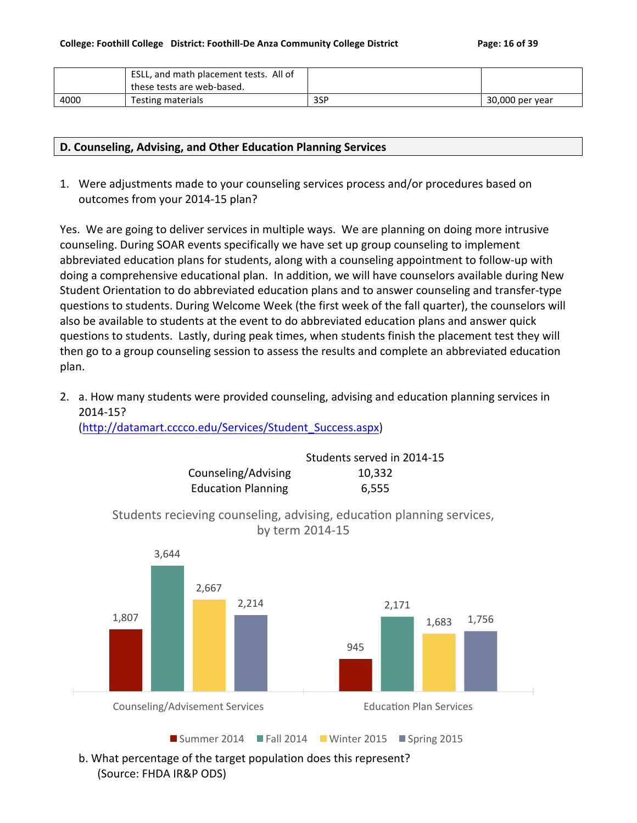|      | ESLL, and math placement tests. All of |     |                 |
|------|----------------------------------------|-----|-----------------|
|      | these tests are web-based.             |     |                 |
| 4000 | Testing materials                      | 3SP | 30,000 per year |

#### **D. Counseling, Advising, and Other Education Planning Services**

1. Were adjustments made to your counseling services process and/or procedures based on outcomes from your 2014-15 plan?

Yes. We are going to deliver services in multiple ways. We are planning on doing more intrusive counseling. During SOAR events specifically we have set up group counseling to implement abbreviated education plans for students, along with a counseling appointment to follow-up with doing a comprehensive educational plan. In addition, we will have counselors available during New Student Orientation to do abbreviated education plans and to answer counseling and transfer-type questions to students. During Welcome Week (the first week of the fall quarter), the counselors will also be available to students at the event to do abbreviated education plans and answer quick questions to students. Lastly, during peak times, when students finish the placement test they will then go to a group counseling session to assess the results and complete an abbreviated education plan.

2. a. How many students were provided counseling, advising and education planning services in 2014-15?

(http://datamart.cccco.edu/Services/Student\_Success.aspx)

|                           | Students served in 2014-15 |
|---------------------------|----------------------------|
| Counseling/Advising       | 10,332                     |
| <b>Education Planning</b> | 6,555                      |

Students recieving counseling, advising, education planning services, by term 2014-15



(Source: FHDA IR&P ODS)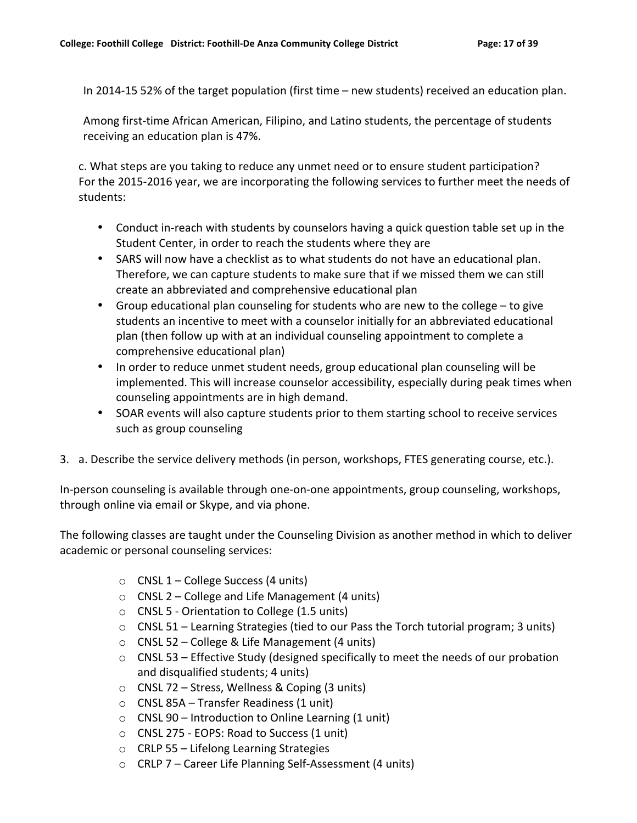In 2014-15 52% of the target population (first time – new students) received an education plan.

Among first-time African American, Filipino, and Latino students, the percentage of students receiving an education plan is 47%.

c. What steps are you taking to reduce any unmet need or to ensure student participation? For the 2015-2016 year, we are incorporating the following services to further meet the needs of students:

- Conduct in-reach with students by counselors having a quick question table set up in the Student Center, in order to reach the students where they are
- SARS will now have a checklist as to what students do not have an educational plan. Therefore, we can capture students to make sure that if we missed them we can still create an abbreviated and comprehensive educational plan
- Group educational plan counseling for students who are new to the college  $-$  to give students an incentive to meet with a counselor initially for an abbreviated educational plan (then follow up with at an individual counseling appointment to complete a comprehensive educational plan)
- In order to reduce unmet student needs, group educational plan counseling will be implemented. This will increase counselor accessibility, especially during peak times when counseling appointments are in high demand.
- SOAR events will also capture students prior to them starting school to receive services such as group counseling
- 3. a. Describe the service delivery methods (in person, workshops, FTES generating course, etc.).

In-person counseling is available through one-on-one appointments, group counseling, workshops, through online via email or Skype, and via phone.

The following classes are taught under the Counseling Division as another method in which to deliver academic or personal counseling services:

- $\circ$  CNSL 1 College Success (4 units)
- $\circ$  CNSL 2 College and Life Management (4 units)
- o CNSL 5 Orientation to College (1.5 units)
- $\circ$  CNSL 51 Learning Strategies (tied to our Pass the Torch tutorial program; 3 units)
- $\circ$  CNSL 52 College & Life Management (4 units)
- $\circ$  CNSL 53 Effective Study (designed specifically to meet the needs of our probation and disqualified students; 4 units)
- $\circ$  CNSL 72 Stress, Wellness & Coping (3 units)
- $\circ$  CNSL 85A Transfer Readiness (1 unit)
- $\circ$  CNSL 90 Introduction to Online Learning (1 unit)
- $\circ$  CNSL 275 EOPS: Road to Success (1 unit)
- $\circ$  CRLP 55 Lifelong Learning Strategies
- $\circ$  CRLP 7 Career Life Planning Self-Assessment (4 units)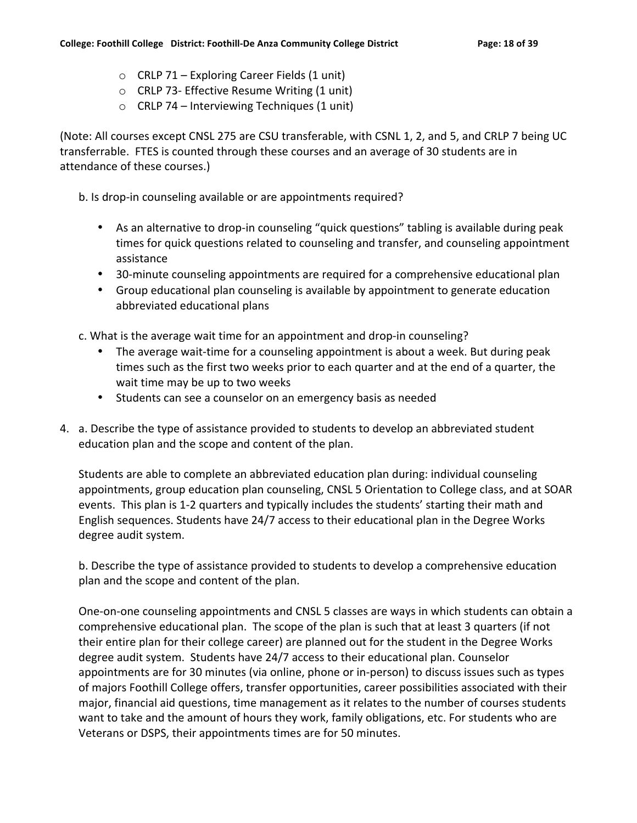- $\circ$  CRLP 71 Exploring Career Fields (1 unit)
- $\circ$  CRLP 73- Effective Resume Writing (1 unit)
- $\circ$  CRLP 74 Interviewing Techniques (1 unit)

(Note: All courses except CNSL 275 are CSU transferable, with CSNL 1, 2, and 5, and CRLP 7 being UC transferrable. FTES is counted through these courses and an average of 30 students are in attendance of these courses.)

b. Is drop-in counseling available or are appointments required?

- As an alternative to drop-in counseling "quick questions" tabling is available during peak times for quick questions related to counseling and transfer, and counseling appointment assistance
- 30-minute counseling appointments are required for a comprehensive educational plan
- Group educational plan counseling is available by appointment to generate education abbreviated educational plans

c. What is the average wait time for an appointment and drop-in counseling?

- The average wait-time for a counseling appointment is about a week. But during peak times such as the first two weeks prior to each quarter and at the end of a quarter, the wait time may be up to two weeks
- Students can see a counselor on an emergency basis as needed
- 4. a. Describe the type of assistance provided to students to develop an abbreviated student education plan and the scope and content of the plan.

Students are able to complete an abbreviated education plan during: individual counseling appointments, group education plan counseling, CNSL 5 Orientation to College class, and at SOAR events. This plan is 1-2 quarters and typically includes the students' starting their math and English sequences. Students have 24/7 access to their educational plan in the Degree Works degree audit system.

b. Describe the type of assistance provided to students to develop a comprehensive education plan and the scope and content of the plan.

One-on-one counseling appointments and CNSL 5 classes are ways in which students can obtain a comprehensive educational plan. The scope of the plan is such that at least 3 quarters (if not their entire plan for their college career) are planned out for the student in the Degree Works degree audit system. Students have 24/7 access to their educational plan. Counselor appointments are for 30 minutes (via online, phone or in-person) to discuss issues such as types of majors Foothill College offers, transfer opportunities, career possibilities associated with their major, financial aid questions, time management as it relates to the number of courses students want to take and the amount of hours they work, family obligations, etc. For students who are Veterans or DSPS, their appointments times are for 50 minutes.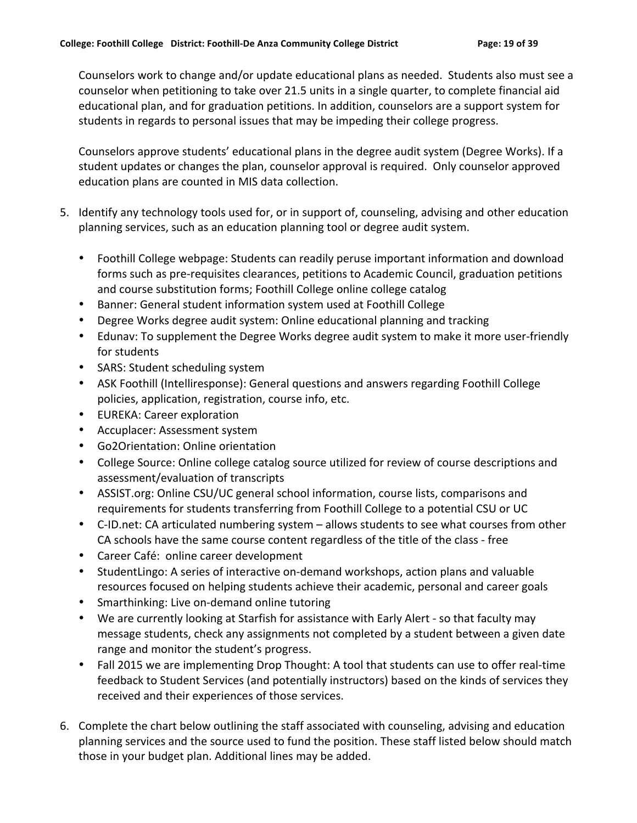Counselors work to change and/or update educational plans as needed. Students also must see a counselor when petitioning to take over 21.5 units in a single quarter, to complete financial aid educational plan, and for graduation petitions. In addition, counselors are a support system for students in regards to personal issues that may be impeding their college progress.

Counselors approve students' educational plans in the degree audit system (Degree Works). If a student updates or changes the plan, counselor approval is required. Only counselor approved education plans are counted in MIS data collection.

- 5. Identify any technology tools used for, or in support of, counseling, advising and other education planning services, such as an education planning tool or degree audit system.
	- Foothill College webpage: Students can readily peruse important information and download forms such as pre-requisites clearances, petitions to Academic Council, graduation petitions and course substitution forms; Foothill College online college catalog
	- Banner: General student information system used at Foothill College
	- Degree Works degree audit system: Online educational planning and tracking
	- Edunav: To supplement the Degree Works degree audit system to make it more user-friendly for students
	- SARS: Student scheduling system
	- ASK Foothill (Intelliresponse): General questions and answers regarding Foothill College policies, application, registration, course info, etc.
	- EUREKA: Career exploration
	- Accuplacer: Assessment system
	- Go2Orientation: Online orientation
	- College Source: Online college catalog source utilized for review of course descriptions and assessment/evaluation of transcripts
	- ASSIST.org: Online CSU/UC general school information, course lists, comparisons and requirements for students transferring from Foothill College to a potential CSU or UC
	- C-ID.net: CA articulated numbering system allows students to see what courses from other CA schools have the same course content regardless of the title of the class - free
	- Career Café: online career development
	- StudentLingo: A series of interactive on-demand workshops, action plans and valuable resources focused on helping students achieve their academic, personal and career goals
	- Smarthinking: Live on-demand online tutoring
	- We are currently looking at Starfish for assistance with Early Alert so that faculty may message students, check any assignments not completed by a student between a given date range and monitor the student's progress.
	- Fall 2015 we are implementing Drop Thought: A tool that students can use to offer real-time feedback to Student Services (and potentially instructors) based on the kinds of services they received and their experiences of those services.
- 6. Complete the chart below outlining the staff associated with counseling, advising and education planning services and the source used to fund the position. These staff listed below should match those in your budget plan. Additional lines may be added.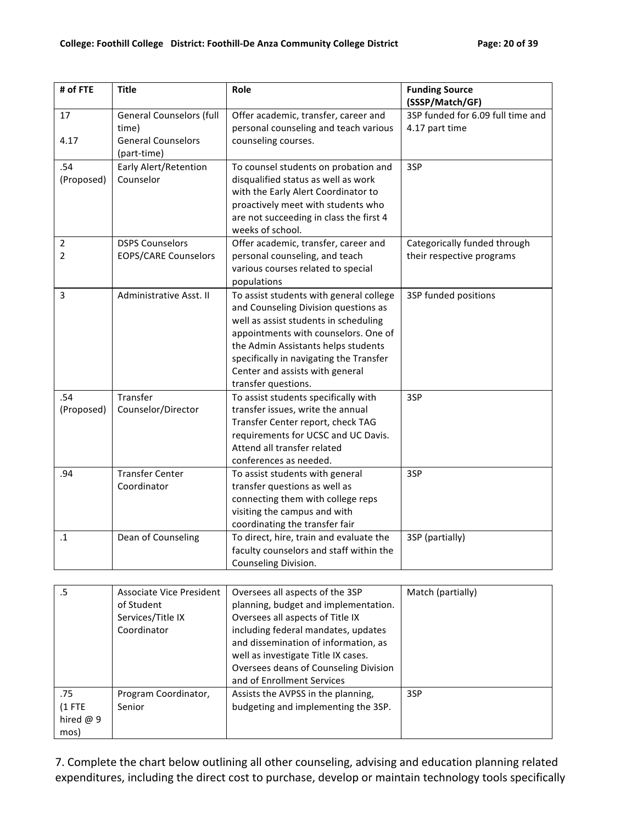| # of FTE          | <b>Title</b>                                                                         | Role                                                                                                                                                                                                                                                                                                         | <b>Funding Source</b><br>(SSSP/Match/GF)                  |
|-------------------|--------------------------------------------------------------------------------------|--------------------------------------------------------------------------------------------------------------------------------------------------------------------------------------------------------------------------------------------------------------------------------------------------------------|-----------------------------------------------------------|
| 17<br>4.17        | <b>General Counselors (full</b><br>time)<br><b>General Counselors</b><br>(part-time) | Offer academic, transfer, career and<br>personal counseling and teach various<br>counseling courses.                                                                                                                                                                                                         | 3SP funded for 6.09 full time and<br>4.17 part time       |
| .54<br>(Proposed) | Early Alert/Retention<br>Counselor                                                   | To counsel students on probation and<br>disqualified status as well as work<br>with the Early Alert Coordinator to<br>proactively meet with students who<br>are not succeeding in class the first 4<br>weeks of school.                                                                                      | 3SP                                                       |
| 2<br>2            | <b>DSPS Counselors</b><br><b>EOPS/CARE Counselors</b>                                | Offer academic, transfer, career and<br>personal counseling, and teach<br>various courses related to special<br>populations                                                                                                                                                                                  | Categorically funded through<br>their respective programs |
| 3                 | Administrative Asst. II                                                              | To assist students with general college<br>and Counseling Division questions as<br>well as assist students in scheduling<br>appointments with counselors. One of<br>the Admin Assistants helps students<br>specifically in navigating the Transfer<br>Center and assists with general<br>transfer questions. | 3SP funded positions                                      |
| .54<br>(Proposed) | Transfer<br>Counselor/Director                                                       | To assist students specifically with<br>transfer issues, write the annual<br>Transfer Center report, check TAG<br>requirements for UCSC and UC Davis.<br>Attend all transfer related<br>conferences as needed.                                                                                               | 3SP                                                       |
| .94               | <b>Transfer Center</b><br>Coordinator                                                | To assist students with general<br>transfer questions as well as<br>connecting them with college reps<br>visiting the campus and with<br>coordinating the transfer fair                                                                                                                                      | 3SP                                                       |
| .1                | Dean of Counseling                                                                   | To direct, hire, train and evaluate the<br>faculty counselors and staff within the<br>Counseling Division.                                                                                                                                                                                                   | 3SP (partially)                                           |

| .5         | Associate Vice President | Oversees all aspects of the 3SP       | Match (partially) |
|------------|--------------------------|---------------------------------------|-------------------|
|            | of Student               | planning, budget and implementation.  |                   |
|            | Services/Title IX        | Oversees all aspects of Title IX      |                   |
|            | Coordinator              | including federal mandates, updates   |                   |
|            |                          | and dissemination of information, as  |                   |
|            |                          | well as investigate Title IX cases.   |                   |
|            |                          | Oversees deans of Counseling Division |                   |
|            |                          | and of Enrollment Services            |                   |
| .75        | Program Coordinator,     | Assists the AVPSS in the planning,    | 3SP               |
| $(1$ FTE   | Senior                   | budgeting and implementing the 3SP.   |                   |
| hired $@9$ |                          |                                       |                   |
| mos)       |                          |                                       |                   |

7. Complete the chart below outlining all other counseling, advising and education planning related expenditures, including the direct cost to purchase, develop or maintain technology tools specifically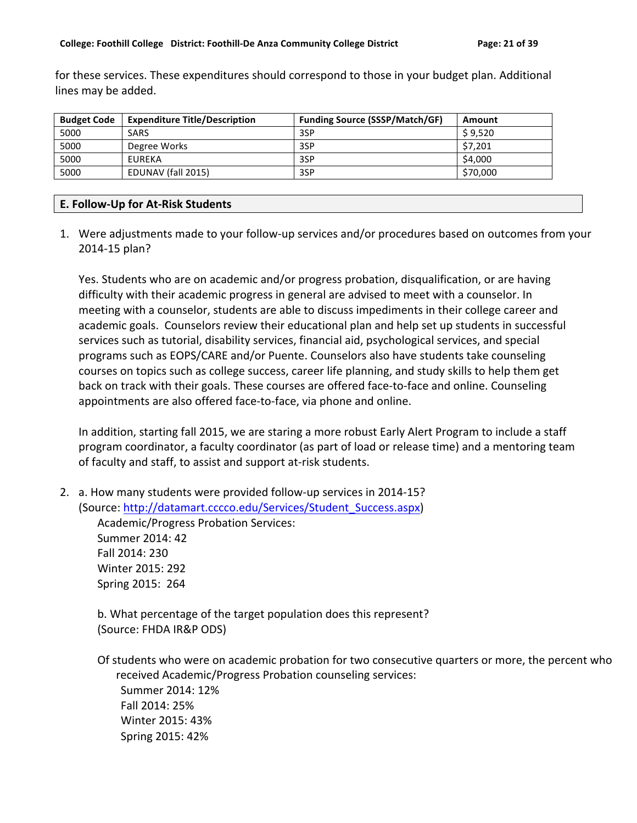for these services. These expenditures should correspond to those in your budget plan. Additional lines may be added.

| <b>Budget Code</b> | <b>Expenditure Title/Description</b> | <b>Funding Source (SSSP/Match/GF)</b> | Amount   |
|--------------------|--------------------------------------|---------------------------------------|----------|
| 5000               | <b>SARS</b>                          | 3SP                                   | \$9.520  |
| 5000               | Degree Works                         | 3SP                                   | \$7,201  |
| 5000               | <b>EUREKA</b>                        | 3SP                                   | \$4,000  |
| 5000               | EDUNAV (fall 2015)                   | 3SP                                   | \$70,000 |

#### **E. Follow-Up for At-Risk Students**

1. Were adjustments made to your follow-up services and/or procedures based on outcomes from your 2014-15 plan?

Yes. Students who are on academic and/or progress probation, disqualification, or are having difficulty with their academic progress in general are advised to meet with a counselor. In meeting with a counselor, students are able to discuss impediments in their college career and academic goals. Counselors review their educational plan and help set up students in successful services such as tutorial, disability services, financial aid, psychological services, and special programs such as EOPS/CARE and/or Puente. Counselors also have students take counseling courses on topics such as college success, career life planning, and study skills to help them get back on track with their goals. These courses are offered face-to-face and online. Counseling appointments are also offered face-to-face, via phone and online.

In addition, starting fall 2015, we are staring a more robust Early Alert Program to include a staff program coordinator, a faculty coordinator (as part of load or release time) and a mentoring team of faculty and staff, to assist and support at-risk students.

2. a. How many students were provided follow-up services in 2014-15?

(Source: http://datamart.cccco.edu/Services/Student\_Success.aspx) Academic/Progress Probation Services: Summer 2014: 42 Fall 2014: 230 Winter 2015: 292 Spring 2015: 264

b. What percentage of the target population does this represent? (Source: FHDA IR&P ODS)

Of students who were on academic probation for two consecutive quarters or more, the percent who received Academic/Progress Probation counseling services: Summer 2014: 12% Fall 2014: 25% Winter 2015: 43% Spring 2015: 42%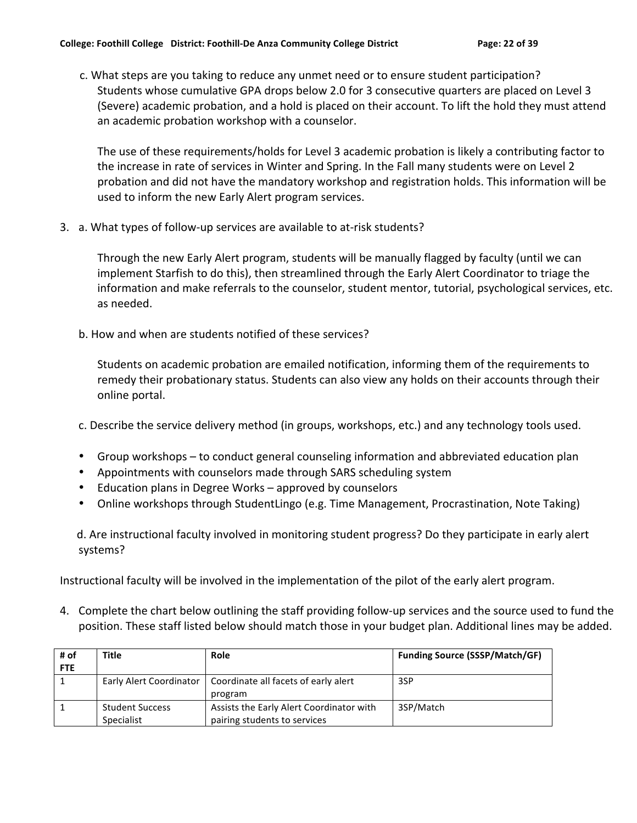c. What steps are you taking to reduce any unmet need or to ensure student participation? Students whose cumulative GPA drops below 2.0 for 3 consecutive quarters are placed on Level 3 (Severe) academic probation, and a hold is placed on their account. To lift the hold they must attend an academic probation workshop with a counselor.

The use of these requirements/holds for Level 3 academic probation is likely a contributing factor to the increase in rate of services in Winter and Spring. In the Fall many students were on Level 2 probation and did not have the mandatory workshop and registration holds. This information will be used to inform the new Early Alert program services.

3. a. What types of follow-up services are available to at-risk students?

Through the new Early Alert program, students will be manually flagged by faculty (until we can implement Starfish to do this), then streamlined through the Early Alert Coordinator to triage the information and make referrals to the counselor, student mentor, tutorial, psychological services, etc. as needed.

b. How and when are students notified of these services?

Students on academic probation are emailed notification, informing them of the requirements to remedy their probationary status. Students can also view any holds on their accounts through their online portal.

- c. Describe the service delivery method (in groups, workshops, etc.) and any technology tools used.
- Group workshops to conduct general counseling information and abbreviated education plan
- Appointments with counselors made through SARS scheduling system
- Education plans in Degree Works approved by counselors
- Online workshops through StudentLingo (e.g. Time Management, Procrastination, Note Taking)

d. Are instructional faculty involved in monitoring student progress? Do they participate in early alert systems?

Instructional faculty will be involved in the implementation of the pilot of the early alert program.

4. Complete the chart below outlining the staff providing follow-up services and the source used to fund the position. These staff listed below should match those in your budget plan. Additional lines may be added.

| # of       | <b>Title</b>           | Role                                                           | <b>Funding Source (SSSP/Match/GF)</b> |
|------------|------------------------|----------------------------------------------------------------|---------------------------------------|
| <b>FTE</b> |                        |                                                                |                                       |
|            |                        | Early Alert Coordinator   Coordinate all facets of early alert | 3SP                                   |
|            |                        | program                                                        |                                       |
|            | <b>Student Success</b> | Assists the Early Alert Coordinator with                       | 3SP/Match                             |
|            | Specialist             | pairing students to services                                   |                                       |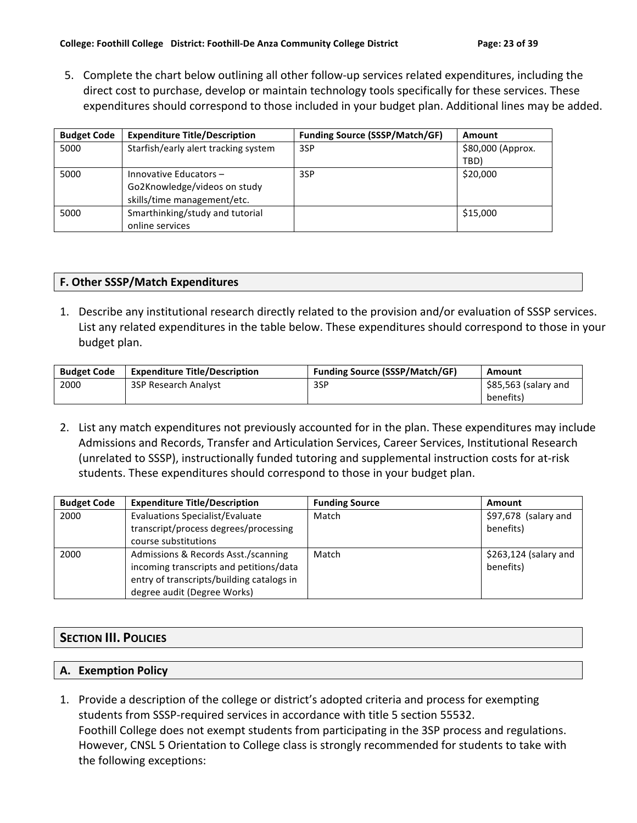5. Complete the chart below outlining all other follow-up services related expenditures, including the direct cost to purchase, develop or maintain technology tools specifically for these services. These expenditures should correspond to those included in your budget plan. Additional lines may be added.

| <b>Budget Code</b> | <b>Expenditure Title/Description</b> | <b>Funding Source (SSSP/Match/GF)</b> | Amount            |
|--------------------|--------------------------------------|---------------------------------------|-------------------|
| 5000               | Starfish/early alert tracking system | 3SP                                   | \$80,000 (Approx. |
|                    |                                      |                                       | TBD)              |
| 5000               | Innovative Educators-                | 3SP                                   | \$20,000          |
|                    | Go2Knowledge/videos on study         |                                       |                   |
|                    | skills/time management/etc.          |                                       |                   |
| 5000               | Smarthinking/study and tutorial      |                                       | \$15,000          |
|                    | online services                      |                                       |                   |

## **F.'Other'SSSP/Match'Expenditures**

1. Describe any institutional research directly related to the provision and/or evaluation of SSSP services. List any related expenditures in the table below. These expenditures should correspond to those in your budget plan.

| <b>Budget Code</b> | <b>Expenditure Title/Description</b> | <b>Funding Source (SSSP/Match/GF)</b> | Amount               |
|--------------------|--------------------------------------|---------------------------------------|----------------------|
| 2000               | <b>3SP Research Analyst</b>          | 3SP                                   | \$85,563 (salary and |
|                    |                                      |                                       | benefits)            |

2. List any match expenditures not previously accounted for in the plan. These expenditures may include Admissions and Records, Transfer and Articulation Services, Career Services, Institutional Research (unrelated to SSSP), instructionally funded tutoring and supplemental instruction costs for at-risk students. These expenditures should correspond to those in your budget plan.

| <b>Budget Code</b> | <b>Expenditure Title/Description</b>                                                                                                                       | <b>Funding Source</b> | Amount                              |
|--------------------|------------------------------------------------------------------------------------------------------------------------------------------------------------|-----------------------|-------------------------------------|
| 2000               | Evaluations Specialist/Evaluate<br>transcript/process degrees/processing<br>course substitutions                                                           | Match                 | \$97,678 (salary and<br>benefits)   |
| 2000               | Admissions & Records Asst./scanning<br>incoming transcripts and petitions/data<br>entry of transcripts/building catalogs in<br>degree audit (Degree Works) | Match                 | $$263,124$ (salary and<br>benefits) |

## **SECTION'III. POLICIES'**

## **A. Exemption'Policy**

1. Provide a description of the college or district's adopted criteria and process for exempting students from SSSP-required services in accordance with title 5 section 55532. Foothill College does not exempt students from participating in the 3SP process and regulations. However, CNSL 5 Orientation to College class is strongly recommended for students to take with the following exceptions: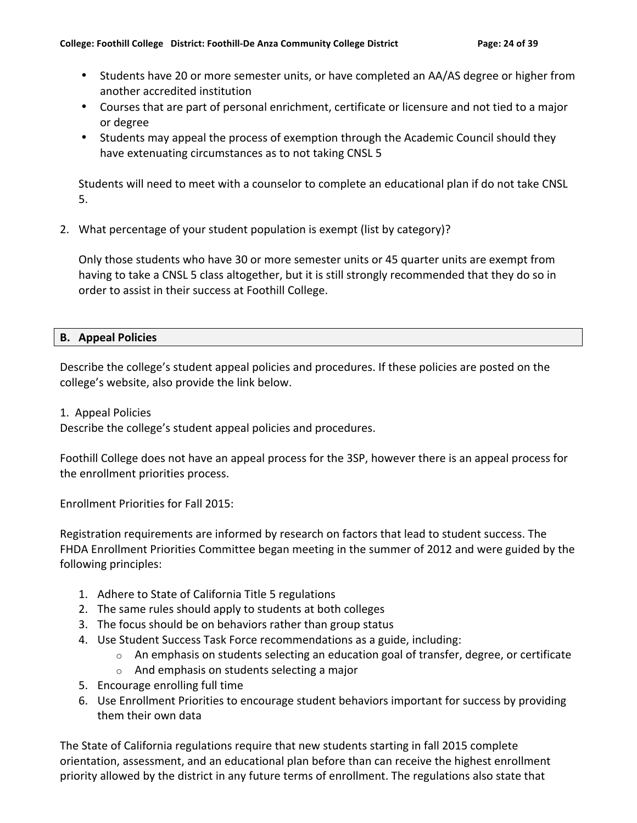- Students have 20 or more semester units, or have completed an AA/AS degree or higher from another accredited institution
- Courses that are part of personal enrichment, certificate or licensure and not tied to a major or degree
- Students may appeal the process of exemption through the Academic Council should they have extenuating circumstances as to not taking CNSL 5

Students will need to meet with a counselor to complete an educational plan if do not take CNSL 5.

2. What percentage of your student population is exempt (list by category)?

Only those students who have 30 or more semester units or 45 quarter units are exempt from having to take a CNSL 5 class altogether, but it is still strongly recommended that they do so in order to assist in their success at Foothill College.

## **B.** Appeal Policies

Describe the college's student appeal policies and procedures. If these policies are posted on the college's website, also provide the link below.

#### 1. Appeal Policies

Describe the college's student appeal policies and procedures.

Foothill College does not have an appeal process for the 3SP, however there is an appeal process for the enrollment priorities process.

Enrollment Priorities for Fall 2015:

Registration requirements are informed by research on factors that lead to student success. The FHDA Enrollment Priorities Committee began meeting in the summer of 2012 and were guided by the following principles:

- 1. Adhere to State of California Title 5 regulations
- 2. The same rules should apply to students at both colleges
- 3. The focus should be on behaviors rather than group status
- 4. Use Student Success Task Force recommendations as a guide, including:
	- $\circ$  An emphasis on students selecting an education goal of transfer, degree, or certificate
	- $\circ$  And emphasis on students selecting a major
- 5. Encourage enrolling full time
- 6. Use Enrollment Priorities to encourage student behaviors important for success by providing them their own data

The State of California regulations require that new students starting in fall 2015 complete orientation, assessment, and an educational plan before than can receive the highest enrollment priority allowed by the district in any future terms of enrollment. The regulations also state that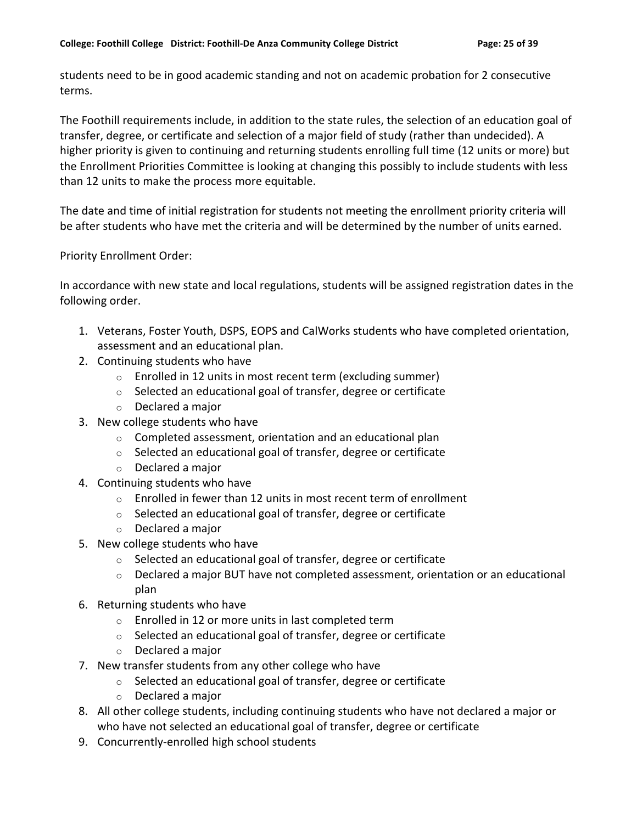students need to be in good academic standing and not on academic probation for 2 consecutive terms.

The Foothill requirements include, in addition to the state rules, the selection of an education goal of transfer, degree, or certificate and selection of a major field of study (rather than undecided). A higher priority is given to continuing and returning students enrolling full time (12 units or more) but the Enrollment Priorities Committee is looking at changing this possibly to include students with less than 12 units to make the process more equitable.

The date and time of initial registration for students not meeting the enrollment priority criteria will be after students who have met the criteria and will be determined by the number of units earned.

## Priority Enrollment Order:

In accordance with new state and local regulations, students will be assigned registration dates in the following order.

- 1. Veterans, Foster Youth, DSPS, EOPS and CalWorks students who have completed orientation, assessment and an educational plan.
- 2. Continuing students who have
	- $\circ$  Enrolled in 12 units in most recent term (excluding summer)
	- $\circ$  Selected an educational goal of transfer, degree or certificate
	- $\circ$  Declared a major
- 3. New college students who have
	- $\circ$  Completed assessment, orientation and an educational plan
	- $\circ$  Selected an educational goal of transfer, degree or certificate
	- $\circ$  Declared a major
- 4. Continuing students who have
	- $\circ$  Enrolled in fewer than 12 units in most recent term of enrollment
	- $\circ$  Selected an educational goal of transfer, degree or certificate
	- $\circ$  Declared a major
- 5. New college students who have
	- $\circ$  Selected an educational goal of transfer, degree or certificate
	- $\circ$  Declared a major BUT have not completed assessment, orientation or an educational plan
- 6. Returning students who have
	- $\circ$  Enrolled in 12 or more units in last completed term
	- $\circ$  Selected an educational goal of transfer, degree or certificate
	- $\circ$  Declared a major
- 7. New transfer students from any other college who have
	- $\circ$  Selected an educational goal of transfer, degree or certificate
	- $\circ$  Declared a major
- 8. All other college students, including continuing students who have not declared a major or who have not selected an educational goal of transfer, degree or certificate
- 9. Concurrently-enrolled high school students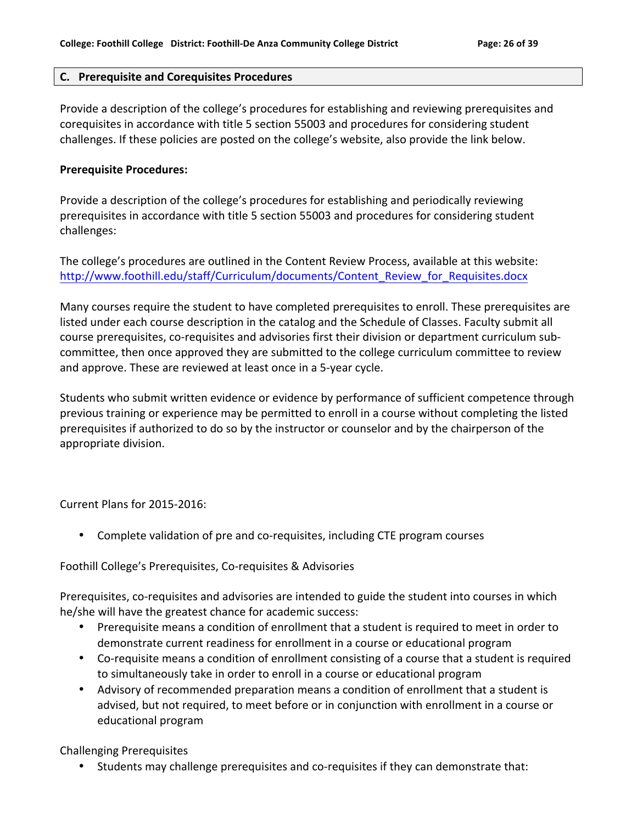#### **C. Prerequisite and'Corequisites Procedures**

Provide a description of the college's procedures for establishing and reviewing prerequisites and corequisites in accordance with title 5 section 55003 and procedures for considering student challenges. If these policies are posted on the college's website, also provide the link below.

#### **Prerequisite Procedures:**

Provide a description of the college's procedures for establishing and periodically reviewing prerequisites in accordance with title 5 section 55003 and procedures for considering student challenges:

The college's procedures are outlined in the Content Review Process, available at this website: http://www.foothill.edu/staff/Curriculum/documents/Content\_Review\_for\_Requisites.docx

Many courses require the student to have completed prerequisites to enroll. These prerequisites are listed under each course description in the catalog and the Schedule of Classes. Faculty submit all course prerequisites, co-requisites and advisories first their division or department curriculum subcommittee, then once approved they are submitted to the college curriculum committee to review and approve. These are reviewed at least once in a 5-year cycle.

Students who submit written evidence or evidence by performance of sufficient competence through previous training or experience may be permitted to enroll in a course without completing the listed prerequisites if authorized to do so by the instructor or counselor and by the chairperson of the appropriate division.

Current Plans for 2015-2016:

• Complete validation of pre and co-requisites, including CTE program courses

Foothill College's Prerequisites, Co-requisites & Advisories

Prerequisites, co-requisites and advisories are intended to guide the student into courses in which he/she will have the greatest chance for academic success:

- Prerequisite means a condition of enrollment that a student is required to meet in order to demonstrate current readiness for enrollment in a course or educational program
- Co-requisite means a condition of enrollment consisting of a course that a student is required to simultaneously take in order to enroll in a course or educational program
- Advisory of recommended preparation means a condition of enrollment that a student is advised, but not required, to meet before or in conjunction with enrollment in a course or educational program

Challenging Prerequisites

• Students may challenge prerequisites and co-requisites if they can demonstrate that: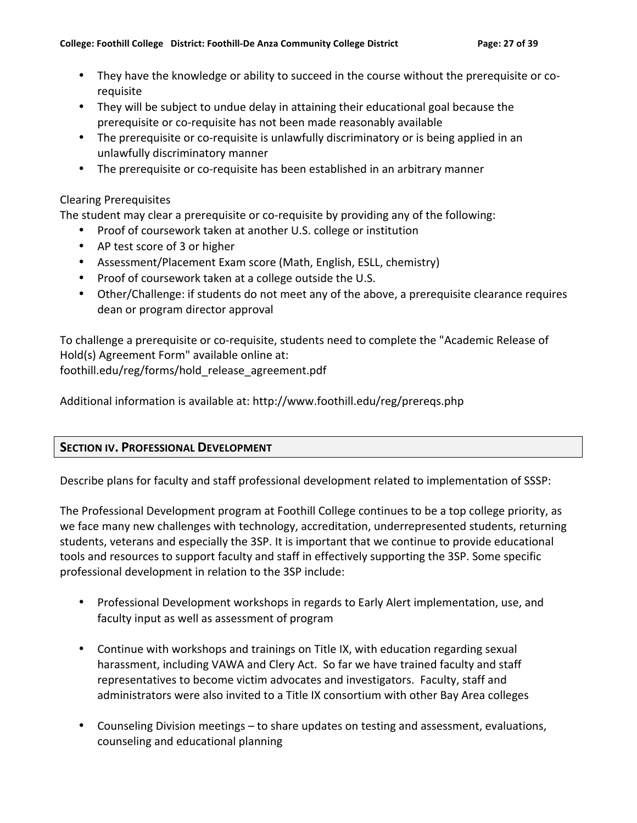- They have the knowledge or ability to succeed in the course without the prerequisite or corequisite
- They will be subject to undue delay in attaining their educational goal because the prerequisite or co-requisite has not been made reasonably available
- The prerequisite or co-requisite is unlawfully discriminatory or is being applied in an unlawfully discriminatory manner
- The prerequisite or co-requisite has been established in an arbitrary manner

## Clearing Prerequisites

The student may clear a prerequisite or co-requisite by providing any of the following:

- Proof of coursework taken at another U.S. college or institution
- AP test score of 3 or higher
- Assessment/Placement Exam score (Math, English, ESLL, chemistry)
- Proof of coursework taken at a college outside the U.S.
- Other/Challenge: if students do not meet any of the above, a prerequisite clearance requires dean or program director approval

To challenge a prerequisite or co-requisite, students need to complete the "Academic Release of Hold(s) Agreement Form" available online at: foothill.edu/reg/forms/hold\_release\_agreement.pdf

Additional information is available at: http://www.foothill.edu/reg/prereqs.php

## **SECTION IV. PROFESSIONAL DEVELOPMENT**

Describe plans for faculty and staff professional development related to implementation of SSSP:

The Professional Development program at Foothill College continues to be a top college priority, as we face many new challenges with technology, accreditation, underrepresented students, returning students, veterans and especially the 3SP. It is important that we continue to provide educational tools and resources to support faculty and staff in effectively supporting the 3SP. Some specific professional development in relation to the 3SP include:

- Professional Development workshops in regards to Early Alert implementation, use, and faculty input as well as assessment of program
- Continue with workshops and trainings on Title IX, with education regarding sexual harassment, including VAWA and Clery Act. So far we have trained faculty and staff representatives to become victim advocates and investigators. Faculty, staff and administrators were also invited to a Title IX consortium with other Bay Area colleges
- Counseling Division meetings to share updates on testing and assessment, evaluations, counseling and educational planning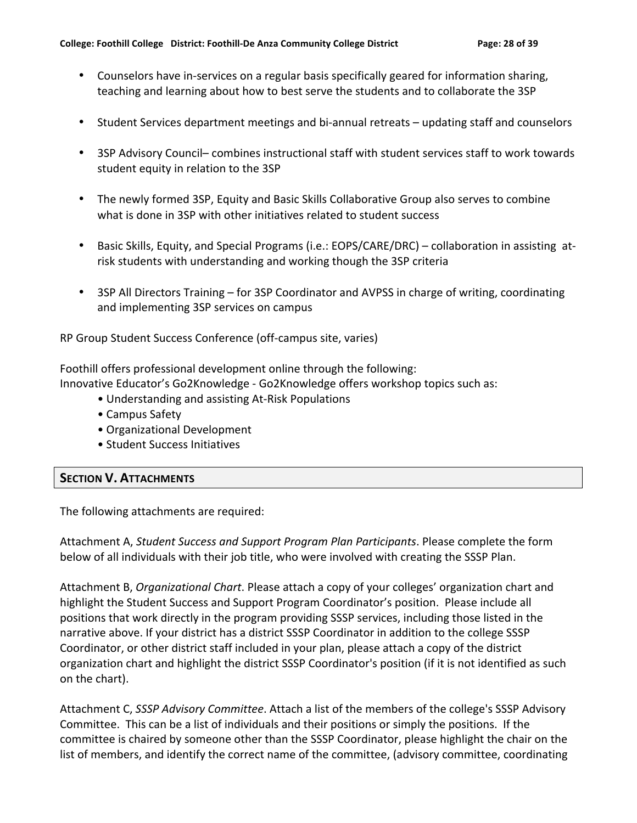- Counselors have in-services on a regular basis specifically geared for information sharing, teaching and learning about how to best serve the students and to collaborate the 3SP
- Student Services department meetings and bi-annual retreats updating staff and counselors
- 3SP Advisory Council– combines instructional staff with student services staff to work towards student equity in relation to the 3SP
- The newly formed 3SP, Equity and Basic Skills Collaborative Group also serves to combine what is done in 3SP with other initiatives related to student success
- Basic Skills, Equity, and Special Programs (i.e.: EOPS/CARE/DRC) collaboration in assisting atrisk students with understanding and working though the 3SP criteria
- 3SP All Directors Training for 3SP Coordinator and AVPSS in charge of writing, coordinating and implementing 3SP services on campus

RP Group Student Success Conference (off-campus site, varies)

Foothill offers professional development online through the following: Innovative Educator's Go2Knowledge - Go2Knowledge offers workshop topics such as:

- Understanding and assisting At-Risk Populations
- Campus Safety
- Organizational Development
- Student Success Initiatives

## **SECTION'V. ATTACHMENTS**

The following attachments are required:

Attachment A, *Student Success and Support Program Plan Participants*. Please complete the form below of all individuals with their job title, who were involved with creating the SSSP Plan.

Attachment B, *Organizational Chart*. Please attach a copy of your colleges' organization chart and highlight the Student Success and Support Program Coordinator's position. Please include all positions that work directly in the program providing SSSP services, including those listed in the narrative above. If your district has a district SSSP Coordinator in addition to the college SSSP Coordinator, or other district staff included in your plan, please attach a copy of the district organization chart and highlight the district SSSP Coordinator's position (if it is not identified as such on the chart).

Attachment C, *SSSP Advisory Committee*. Attach a list of the members of the college's SSSP Advisory Committee. This can be a list of individuals and their positions or simply the positions. If the committee is chaired by someone other than the SSSP Coordinator, please highlight the chair on the list of members, and identify the correct name of the committee, (advisory committee, coordinating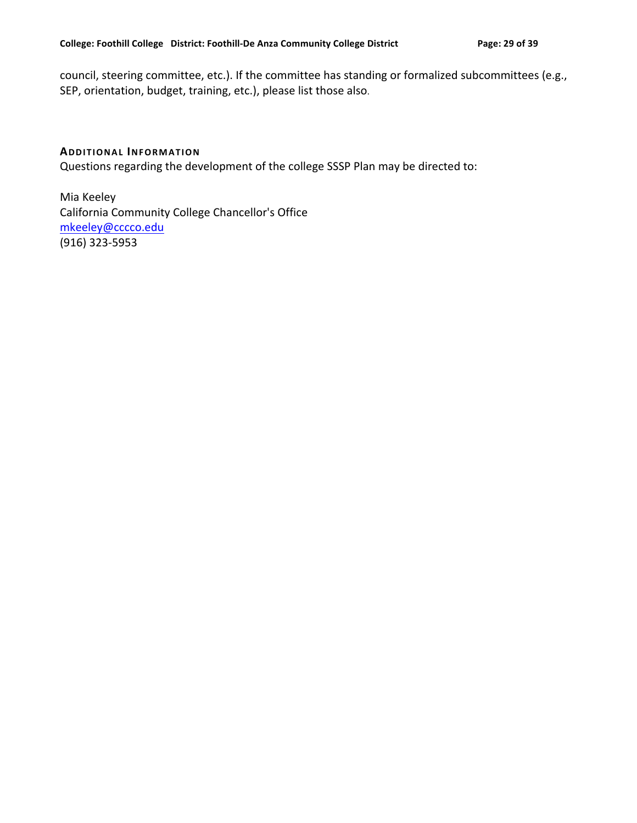council, steering committee, etc.). If the committee has standing or formalized subcommittees (e.g., SEP, orientation, budget, training, etc.), please list those also.

#### **ADDITIONAL'INFORMATION**

Questions regarding the development of the college SSSP Plan may be directed to:

Mia Keeley California Community College Chancellor's Office mkeeley@cccco.edu (916) 323-5953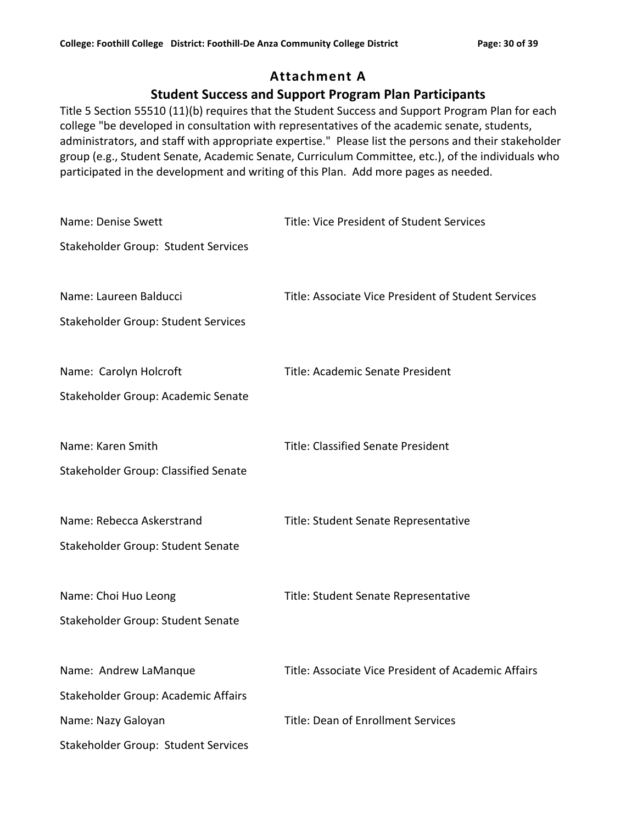# **Attachment'A**

## **Student Success and Support Program Plan Participants**

Title 5 Section 55510 (11)(b) requires that the Student Success and Support Program Plan for each college "be developed in consultation with representatives of the academic senate, students, administrators, and staff with appropriate expertise." Please list the persons and their stakeholder group (e.g., Student Senate, Academic Senate, Curriculum Committee, etc.), of the individuals who participated in the development and writing of this Plan. Add more pages as needed.

| Name: Denise Swett                         | Title: Vice President of Student Services           |
|--------------------------------------------|-----------------------------------------------------|
| Stakeholder Group: Student Services        |                                                     |
|                                            |                                                     |
| Name: Laureen Balducci                     | Title: Associate Vice President of Student Services |
| <b>Stakeholder Group: Student Services</b> |                                                     |
|                                            |                                                     |
| Name: Carolyn Holcroft                     | Title: Academic Senate President                    |
| Stakeholder Group: Academic Senate         |                                                     |
|                                            |                                                     |
| Name: Karen Smith                          | <b>Title: Classified Senate President</b>           |
| Stakeholder Group: Classified Senate       |                                                     |
|                                            |                                                     |
| Name: Rebecca Askerstrand                  | Title: Student Senate Representative                |
| Stakeholder Group: Student Senate          |                                                     |
|                                            |                                                     |
| Name: Choi Huo Leong                       | Title: Student Senate Representative                |
| Stakeholder Group: Student Senate          |                                                     |
|                                            |                                                     |
| Name: Andrew LaManque                      | Title: Associate Vice President of Academic Affairs |
| Stakeholder Group: Academic Affairs        |                                                     |
| Name: Nazy Galoyan                         | <b>Title: Dean of Enrollment Services</b>           |
| Stakeholder Group: Student Services        |                                                     |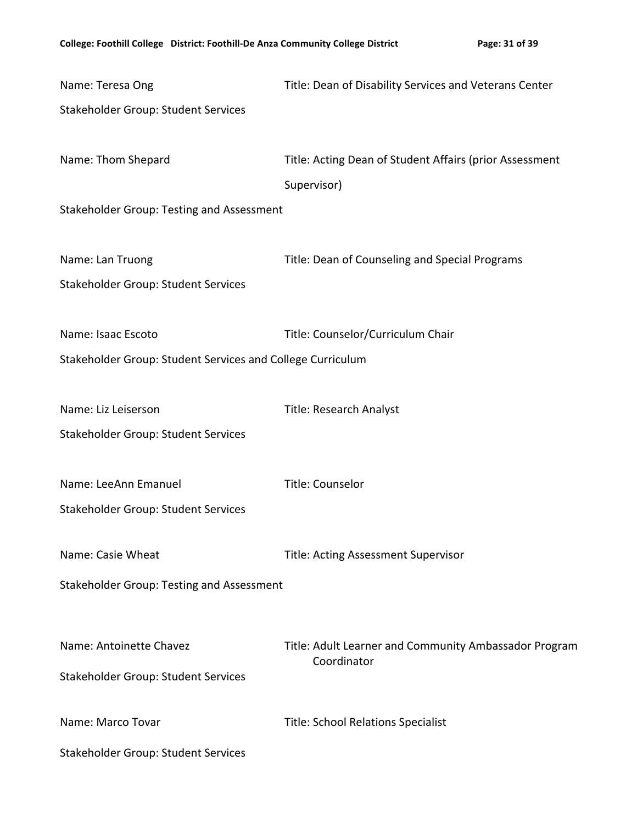| Name: Teresa Ong                                           | Title: Dean of Disability Services and Veterans Center  |
|------------------------------------------------------------|---------------------------------------------------------|
| Stakeholder Group: Student Services                        |                                                         |
|                                                            |                                                         |
| Name: Thom Shepard                                         | Title: Acting Dean of Student Affairs (prior Assessment |
|                                                            | Supervisor)                                             |
| Stakeholder Group: Testing and Assessment                  |                                                         |
|                                                            |                                                         |
| Name: Lan Truong                                           | Title: Dean of Counseling and Special Programs          |
| Stakeholder Group: Student Services                        |                                                         |
|                                                            |                                                         |
| Name: Isaac Escoto                                         | Title: Counselor/Curriculum Chair                       |
| Stakeholder Group: Student Services and College Curriculum |                                                         |
|                                                            |                                                         |
| Name: Liz Leiserson                                        | <b>Title: Research Analyst</b>                          |
| <b>Stakeholder Group: Student Services</b>                 |                                                         |
|                                                            |                                                         |
| Name: LeeAnn Emanuel                                       | Title: Counselor                                        |
| Stakeholder Group: Student Services                        |                                                         |
| Name: Casie Wheat                                          |                                                         |
|                                                            | <b>Title: Acting Assessment Supervisor</b>              |
| Stakeholder Group: Testing and Assessment                  |                                                         |
|                                                            |                                                         |
| Name: Antoinette Chavez                                    | Title: Adult Learner and Community Ambassador Program   |
| <b>Stakeholder Group: Student Services</b>                 | Coordinator                                             |
|                                                            |                                                         |
| Name: Marco Tovar                                          | <b>Title: School Relations Specialist</b>               |
| Stakeholder Group: Student Services                        |                                                         |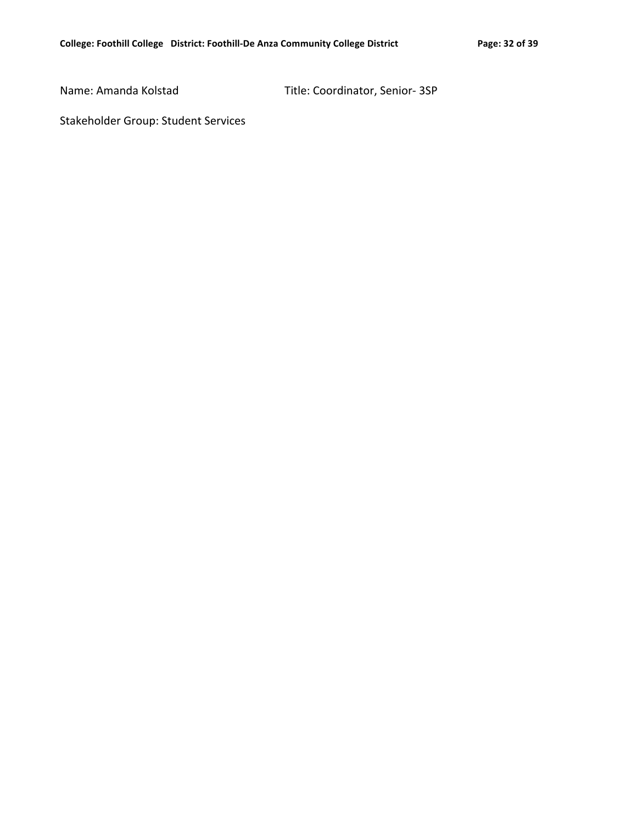Name: Amanda Kolstad Title: Coordinator, Senior- 3SP

Stakeholder Group: Student Services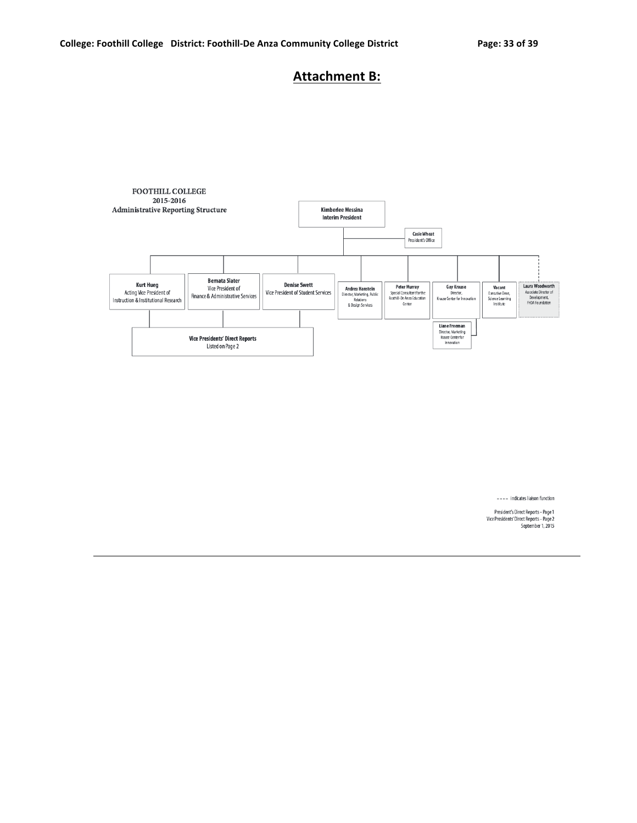# **Attachment B:**



---- indicates liaison function

President's Direct Reports - Page 1<br>Vice Presidents' Direct Reports - Page 2 September 1, 2015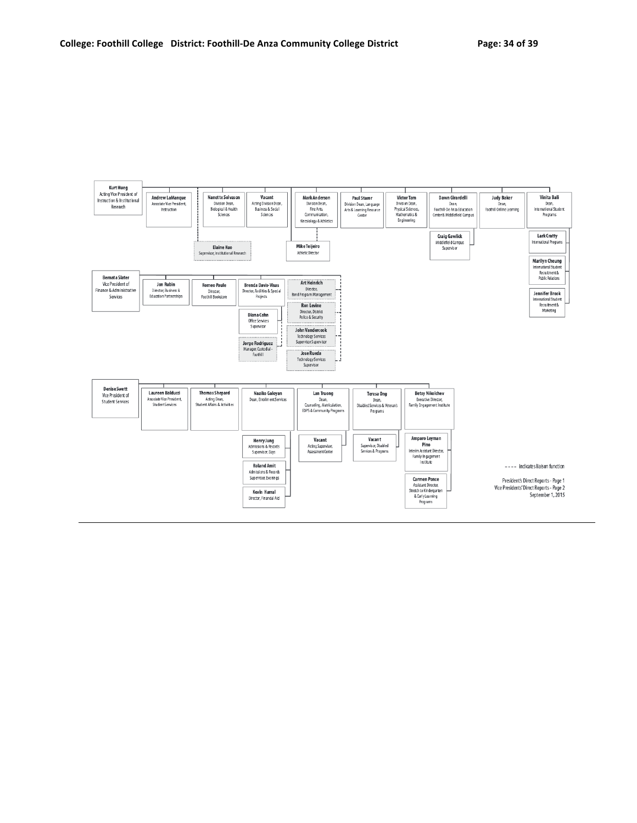